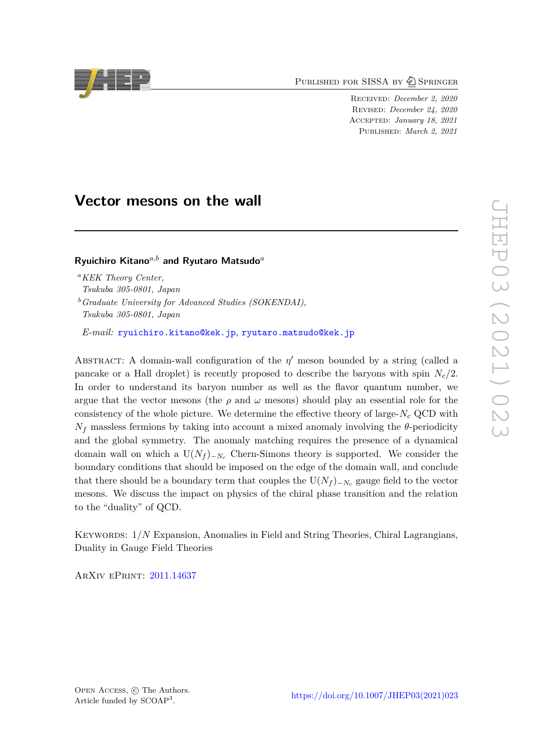PUBLISHED FOR SISSA BY 2 SPRINGER

Received: *December 2, 2020* Revised: *December 24, 2020* Accepted: *January 18, 2021* Published: *March 2, 2021*

# **Vector mesons on the wall**

**Ryuichiro Kitano***a,b* **and Ryutaro Matsudo***<sup>a</sup>*

*<sup>a</sup>KEK Theory Center, Tsukuba 305-0801, Japan*

*<sup>b</sup>Graduate University for Advanced Studies (SOKENDAI), Tsukuba 305-0801, Japan*

*E-mail:* [ryuichiro.kitano@kek.jp](mailto:ryuichiro.kitano@kek.jp), [ryutaro.matsudo@kek.jp](mailto:ryutaro.matsudo@kek.jp)

ABSTRACT: A domain-wall configuration of the  $\eta'$  meson bounded by a string (called a pancake or a Hall droplet) is recently proposed to describe the baryons with spin  $N_c/2$ . In order to understand its baryon number as well as the flavor quantum number, we argue that the vector mesons (the  $\rho$  and  $\omega$  mesons) should play an essential role for the consistency of the whole picture. We determine the effective theory of large- $N_c$  QCD with  $N_f$  massless fermions by taking into account a mixed anomaly involving the  $\theta$ -periodicity and the global symmetry. The anomaly matching requires the presence of a dynamical domain wall on which a  $U(N_f)_{-N_c}$  Chern-Simons theory is supported. We consider the boundary conditions that should be imposed on the edge of the domain wall, and conclude that there should be a boundary term that couples the  $U(N_f)$ <sub>− $N_c$ </sub> gauge field to the vector mesons. We discuss the impact on physics of the chiral phase transition and the relation to the "duality" of QCD.

Keywords: 1/*N* Expansion, Anomalies in Field and String Theories, Chiral Lagrangians, Duality in Gauge Field Theories

ArXiv ePrint: [2011.14637](https://arxiv.org/abs/2011.14637)

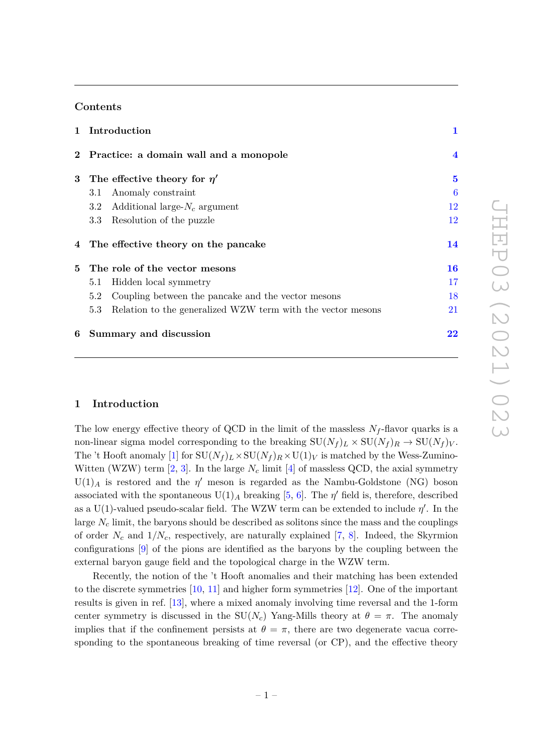# **Contents**

|   | 1 Introduction                                                     | $\mathbf{1}$ |
|---|--------------------------------------------------------------------|--------------|
|   | 2 Practice: a domain wall and a monopole                           | 4            |
|   | 3 The effective theory for $\eta'$                                 | 5            |
|   | Anomaly constraint<br>3.1                                          | 6            |
|   | 3.2 Additional large- $N_c$ argument                               | 12           |
|   | Resolution of the puzzle<br>$3.3\,$                                | 12           |
|   | 4 The effective theory on the pancake                              | 14           |
|   | 5 The role of the vector mesons                                    | 16           |
|   | Hidden local symmetry<br>5.1                                       | 17           |
|   | Coupling between the pancake and the vector mesons<br>5.2          | 18           |
|   | Relation to the generalized WZW term with the vector mesons<br>5.3 | 21           |
| 6 | Summary and discussion                                             | 22           |

# <span id="page-1-0"></span>**1 Introduction**

The low energy effective theory of QCD in the limit of the massless  $N_f$ -flavor quarks is a non-linear sigma model corresponding to the breaking  $SU(N_f)_L \times SU(N_f)_R \rightarrow SU(N_f)_V$ . The 't Hooft anomaly [\[1\]](#page-24-0) for  $SU(N_f)_L \times SU(N_f)_R \times U(1)_V$  is matched by the Wess-Zumino-Witten (WZW) term  $[2, 3]$  $[2, 3]$  $[2, 3]$ . In the large  $N_c$  limit  $[4]$  of massless QCD, the axial symmetry  $U(1)<sub>A</sub>$  is restored and the  $\eta'$  meson is regarded as the Nambu-Goldstone (NG) boson associated with the spontaneous  $U(1)_A$  breaking [\[5,](#page-24-4) [6\]](#page-24-5). The  $\eta'$  field is, therefore, described as a U(1)-valued pseudo-scalar field. The WZW term can be extended to include  $\eta'$ . In the large *N<sup>c</sup>* limit, the baryons should be described as solitons since the mass and the couplings of order  $N_c$  and  $1/N_c$ , respectively, are naturally explained [\[7,](#page-24-6) [8\]](#page-24-7). Indeed, the Skyrmion configurations [\[9\]](#page-24-8) of the pions are identified as the baryons by the coupling between the external baryon gauge field and the topological charge in the WZW term.

Recently, the notion of the 't Hooft anomalies and their matching has been extended to the discrete symmetries [\[10,](#page-24-9) [11\]](#page-24-10) and higher form symmetries [\[12\]](#page-25-0). One of the important results is given in ref. [\[13\]](#page-25-1), where a mixed anomaly involving time reversal and the 1-form center symmetry is discussed in the  $SU(N_c)$  Yang-Mills theory at  $\theta = \pi$ . The anomaly implies that if the confinement persists at  $\theta = \pi$ , there are two degenerate vacua corresponding to the spontaneous breaking of time reversal (or CP), and the effective theory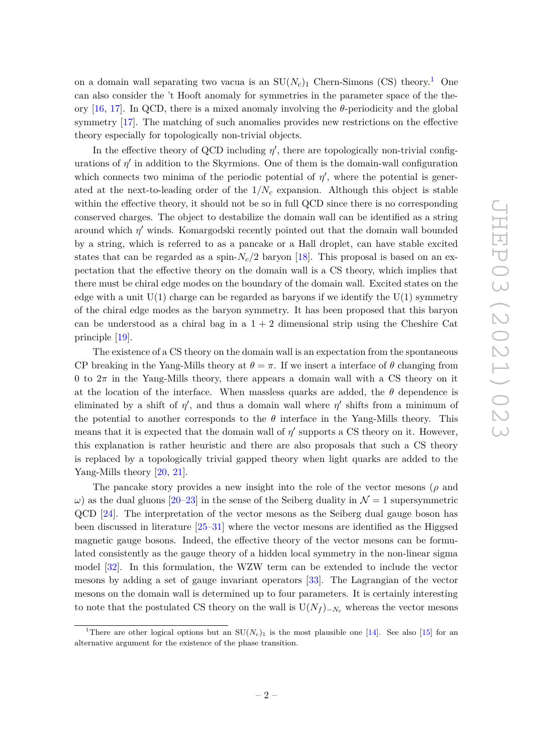on a domain wall separating two vacua is an  $SU(N_c)$ <sub>[1](#page-2-0)</sub> Chern-Simons (CS) theory.<sup>1</sup> One can also consider the 't Hooft anomaly for symmetries in the parameter space of the theory [\[16,](#page-25-2) [17\]](#page-25-3). In QCD, there is a mixed anomaly involving the *θ*-periodicity and the global symmetry [\[17\]](#page-25-3). The matching of such anomalies provides new restrictions on the effective theory especially for topologically non-trivial objects.

In the effective theory of QCD including  $\eta'$ , there are topologically non-trivial configurations of  $\eta'$  in addition to the Skyrmions. One of them is the domain-wall configuration which connects two minima of the periodic potential of  $\eta'$ , where the potential is generated at the next-to-leading order of the  $1/N_c$  expansion. Although this object is stable within the effective theory, it should not be so in full QCD since there is no corresponding conserved charges. The object to destabilize the domain wall can be identified as a string around which  $\eta'$  winds. Komargodski recently pointed out that the domain wall bounded by a string, which is referred to as a pancake or a Hall droplet, can have stable excited states that can be regarded as a spin- $N_c/2$  baryon [\[18\]](#page-25-4). This proposal is based on an expectation that the effective theory on the domain wall is a CS theory, which implies that there must be chiral edge modes on the boundary of the domain wall. Excited states on the edge with a unit  $U(1)$  charge can be regarded as baryons if we identify the  $U(1)$  symmetry of the chiral edge modes as the baryon symmetry. It has been proposed that this baryon can be understood as a chiral bag in a  $1 + 2$  dimensional strip using the Cheshire Cat principle [\[19\]](#page-25-5).

The existence of a CS theory on the domain wall is an expectation from the spontaneous CP breaking in the Yang-Mills theory at  $\theta = \pi$ . If we insert a interface of  $\theta$  changing from 0 to  $2\pi$  in the Yang-Mills theory, there appears a domain wall with a CS theory on it at the location of the interface. When massless quarks are added, the  $\theta$  dependence is eliminated by a shift of  $\eta'$ , and thus a domain wall where  $\eta'$  shifts from a minimum of the potential to another corresponds to the  $\theta$  interface in the Yang-Mills theory. This means that it is expected that the domain wall of  $\eta'$  supports a CS theory on it. However, this explanation is rather heuristic and there are also proposals that such a CS theory is replaced by a topologically trivial gapped theory when light quarks are added to the Yang-Mills theory [\[20,](#page-25-6) [21\]](#page-25-7).

The pancake story provides a new insight into the role of the vector mesons (*ρ* and  $\omega$ ) as the dual gluons [\[20](#page-25-6)[–23\]](#page-25-8) in the sense of the Seiberg duality in  $\mathcal{N}=1$  supersymmetric QCD [\[24\]](#page-25-9). The interpretation of the vector mesons as the Seiberg dual gauge boson has been discussed in literature [\[25–](#page-25-10)[31\]](#page-25-11) where the vector mesons are identified as the Higgsed magnetic gauge bosons. Indeed, the effective theory of the vector mesons can be formulated consistently as the gauge theory of a hidden local symmetry in the non-linear sigma model [\[32\]](#page-26-0). In this formulation, the WZW term can be extended to include the vector mesons by adding a set of gauge invariant operators [\[33\]](#page-26-1). The Lagrangian of the vector mesons on the domain wall is determined up to four parameters. It is certainly interesting to note that the postulated CS theory on the wall is  $U(N_f)_{-N_c}$  whereas the vector mesons

<span id="page-2-0"></span><sup>&</sup>lt;sup>1</sup>There are other logical options but an  $SU(N_c)$ <sub>1</sub> is the most plausible one [\[14\]](#page-25-12). See also [\[15\]](#page-25-13) for an alternative argument for the existence of the phase transition.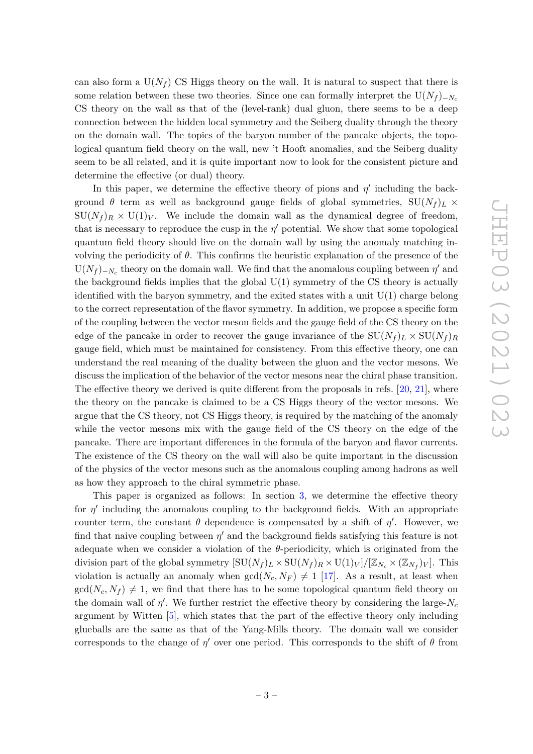can also form a  $U(N_f)$  CS Higgs theory on the wall. It is natural to suspect that there is some relation between these two theories. Since one can formally interpret the U( $N_f$ )− $N_c$ CS theory on the wall as that of the (level-rank) dual gluon, there seems to be a deep connection between the hidden local symmetry and the Seiberg duality through the theory on the domain wall. The topics of the baryon number of the pancake objects, the topological quantum field theory on the wall, new 't Hooft anomalies, and the Seiberg duality seem to be all related, and it is quite important now to look for the consistent picture and determine the effective (or dual) theory.

In this paper, we determine the effective theory of pions and  $\eta'$  including the background  $\theta$  term as well as background gauge fields of global symmetries,  $SU(N_f)_L \times$  $SU(N_f)_R \times U(1)_V$ . We include the domain wall as the dynamical degree of freedom, that is necessary to reproduce the cusp in the  $\eta'$  potential. We show that some topological quantum field theory should live on the domain wall by using the anomaly matching involving the periodicity of *θ*. This confirms the heuristic explanation of the presence of the  $U(N_f)$ <sub>− $N_c$ </sub> theory on the domain wall. We find that the anomalous coupling between  $\eta'$  and the background fields implies that the global  $U(1)$  symmetry of the CS theory is actually identified with the baryon symmetry, and the exited states with a unit  $U(1)$  charge belong to the correct representation of the flavor symmetry. In addition, we propose a specific form of the coupling between the vector meson fields and the gauge field of the CS theory on the edge of the pancake in order to recover the gauge invariance of the  $SU(N_f)_L \times SU(N_f)_R$ gauge field, which must be maintained for consistency. From this effective theory, one can understand the real meaning of the duality between the gluon and the vector mesons. We discuss the implication of the behavior of the vector mesons near the chiral phase transition. The effective theory we derived is quite different from the proposals in refs. [\[20,](#page-25-6) [21\]](#page-25-7), where the theory on the pancake is claimed to be a CS Higgs theory of the vector mesons. We argue that the CS theory, not CS Higgs theory, is required by the matching of the anomaly while the vector mesons mix with the gauge field of the CS theory on the edge of the pancake. There are important differences in the formula of the baryon and flavor currents. The existence of the CS theory on the wall will also be quite important in the discussion of the physics of the vector mesons such as the anomalous coupling among hadrons as well as how they approach to the chiral symmetric phase.

This paper is organized as follows: In section [3,](#page-5-0) we determine the effective theory for  $\eta'$  including the anomalous coupling to the background fields. With an appropriate counter term, the constant  $\theta$  dependence is compensated by a shift of  $\eta'$ . However, we find that naive coupling between  $\eta'$  and the background fields satisfying this feature is not adequate when we consider a violation of the  $\theta$ -periodicity, which is originated from the division part of the global symmetry  $[\text{SU}(N_f)_L \times \text{SU}(N_f)_R \times \text{U}(1)_V]/[\mathbb{Z}_{N_c} \times (\mathbb{Z}_{N_f})_V]$ . This violation is actually an anomaly when  $gcd(N_c, N_F) \neq 1$  [\[17\]](#page-25-3). As a result, at least when  $gcd(N_c, N_f) \neq 1$ , we find that there has to be some topological quantum field theory on the domain wall of  $\eta'$ . We further restrict the effective theory by considering the large- $N_c$ argument by Witten [\[5\]](#page-24-4), which states that the part of the effective theory only including glueballs are the same as that of the Yang-Mills theory. The domain wall we consider corresponds to the change of  $\eta'$  over one period. This corresponds to the shift of  $\theta$  from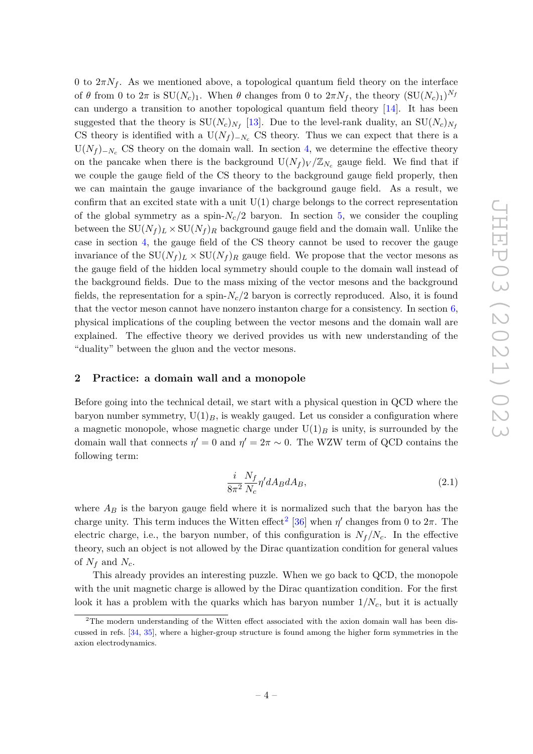0 to  $2\pi N_f$ . As we mentioned above, a topological quantum field theory on the interface of  $\theta$  from 0 to  $2\pi$  is  $SU(N_c)_1$ . When  $\theta$  changes from 0 to  $2\pi N_f$ , the theory  $(SU(N_c)_1)^{N_f}$ can undergo a transition to another topological quantum field theory [\[14\]](#page-25-12). It has been suggested that the theory is  $SU(N_c)_{N_f}$  [\[13\]](#page-25-1). Due to the level-rank duality, an  $SU(N_c)_{N_f}$ CS theory is identified with a  $U(N_f)_{-N_c}$  CS theory. Thus we can expect that there is a  $U(N_f)_{-N_c}$  CS theory on the domain wall. In section [4,](#page-14-0) we determine the effective theory on the pancake when there is the background  $U(N_f)_V/\mathbb{Z}_{N_c}$  gauge field. We find that if we couple the gauge field of the CS theory to the background gauge field properly, then we can maintain the gauge invariance of the background gauge field. As a result, we confirm that an excited state with a unit  $U(1)$  charge belongs to the correct representation of the global symmetry as a spin- $N_c/2$  baryon. In section [5,](#page-16-0) we consider the coupling between the  $SU(N_f)_L \times SU(N_f)_R$  background gauge field and the domain wall. Unlike the case in section [4,](#page-14-0) the gauge field of the CS theory cannot be used to recover the gauge invariance of the  $SU(N_f)_L \times SU(N_f)_R$  gauge field. We propose that the vector mesons as the gauge field of the hidden local symmetry should couple to the domain wall instead of the background fields. Due to the mass mixing of the vector mesons and the background fields, the representation for a spin-*Nc/*2 baryon is correctly reproduced. Also, it is found that the vector meson cannot have nonzero instanton charge for a consistency. In section [6,](#page-22-0) physical implications of the coupling between the vector mesons and the domain wall are explained. The effective theory we derived provides us with new understanding of the "duality" between the gluon and the vector mesons.

# <span id="page-4-0"></span>**2 Practice: a domain wall and a monopole**

Before going into the technical detail, we start with a physical question in QCD where the baryon number symmetry,  $U(1)_B$ , is weakly gauged. Let us consider a configuration where a magnetic monopole, whose magnetic charge under  $U(1)_B$  is unity, is surrounded by the domain wall that connects  $\eta' = 0$  and  $\eta' = 2\pi \sim 0$ . The WZW term of QCD contains the following term:

$$
\frac{i}{8\pi^2} \frac{N_f}{N_c} \eta' dA_B dA_B,\tag{2.1}
$$

where  $A_B$  is the baryon gauge field where it is normalized such that the baryon has the charge unity. This term induces the Witten effect<sup>[2](#page-4-1)</sup> [\[36\]](#page-26-2) when  $\eta'$  changes from 0 to  $2\pi$ . The electric charge, i.e., the baryon number, of this configuration is  $N_f/N_c$ . In the effective theory, such an object is not allowed by the Dirac quantization condition for general values of  $N_f$  and  $N_c$ .

This already provides an interesting puzzle. When we go back to QCD, the monopole with the unit magnetic charge is allowed by the Dirac quantization condition. For the first look it has a problem with the quarks which has baryon number 1*/Nc*, but it is actually

<span id="page-4-1"></span> $2$ The modern understanding of the Witten effect associated with the axion domain wall has been discussed in refs. [\[34,](#page-26-3) [35\]](#page-26-4), where a higher-group structure is found among the higher form symmetries in the axion electrodynamics.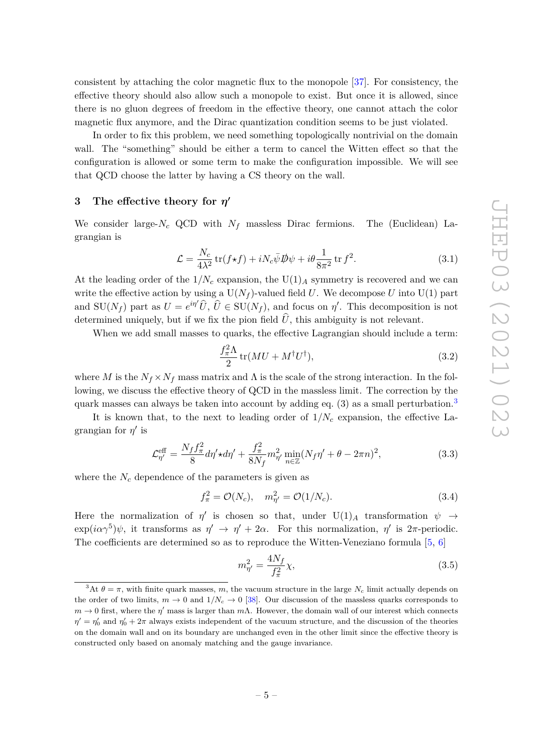consistent by attaching the color magnetic flux to the monopole [\[37\]](#page-26-5). For consistency, the effective theory should also allow such a monopole to exist. But once it is allowed, since there is no gluon degrees of freedom in the effective theory, one cannot attach the color magnetic flux anymore, and the Dirac quantization condition seems to be just violated.

In order to fix this problem, we need something topologically nontrivial on the domain wall. The "something" should be either a term to cancel the Witten effect so that the configuration is allowed or some term to make the configuration impossible. We will see that QCD choose the latter by having a CS theory on the wall.

# <span id="page-5-0"></span>**3** The effective theory for  $η'$

We consider large- $N_c$  QCD with  $N_f$  massless Dirac fermions. The (Euclidean) Lagrangian is

$$
\mathcal{L} = \frac{N_c}{4\lambda^2} \operatorname{tr}(f \star f) + i N_c \bar{\psi} \mathcal{D}\psi + i \theta \frac{1}{8\pi^2} \operatorname{tr} f^2.
$$
 (3.1)

At the leading order of the  $1/N_c$  expansion, the  $U(1)_A$  symmetry is recovered and we can write the effective action by using a  $U(N_f)$ -valued field *U*. We decompose *U* into  $U(1)$  part and  $SU(N_f)$  part as  $U = e^{i\eta t} \hat{U}$ ,  $\hat{U} \in SU(N_f)$ , and focus on  $\eta'$ . This decomposition is not determined uniquely, but if we fix the pion field  $\hat{U}$ , this ambiguity is not relevant.

When we add small masses to quarks, the effective Lagrangian should include a term:

$$
\frac{f_{\pi}^2 \Lambda}{2} \text{tr}(MU + M^{\dagger} U^{\dagger}),\tag{3.2}
$$

where *M* is the  $N_f \times N_f$  mass matrix and  $\Lambda$  is the scale of the strong interaction. In the following, we discuss the effective theory of QCD in the massless limit. The correction by the quark masses can always be taken into account by adding eq.  $(3)$  $(3)$  $(3)$  as a small perturbation.<sup>3</sup>

It is known that, to the next to leading order of  $1/N_c$  expansion, the effective Lagrangian for  $\eta'$  is

$$
\mathcal{L}_{\eta'}^{\text{eff}} = \frac{N_f f_\pi^2}{8} d\eta' \star d\eta' + \frac{f_\pi^2}{8N_f} m_{\eta'}^2 \min_{n \in \mathbb{Z}} (N_f \eta' + \theta - 2\pi n)^2, \tag{3.3}
$$

where the  $N_c$  dependence of the parameters is given as

$$
f_{\pi}^{2} = \mathcal{O}(N_c), \quad m_{\eta'}^{2} = \mathcal{O}(1/N_c). \tag{3.4}
$$

Here the normalization of  $\eta'$  is chosen so that, under  $U(1)_A$  transformation  $\psi \to$  $\exp(i\alpha\gamma^5)\psi$ , it transforms as  $\eta' \to \eta' + 2\alpha$ . For this normalization,  $\eta'$  is  $2\pi$ -periodic. The coefficients are determined so as to reproduce the Witten-Veneziano formula [\[5,](#page-24-4) [6\]](#page-24-5)

<span id="page-5-2"></span>
$$
m_{\eta'}^2 = \frac{4N_f}{f_\pi^2} \chi,\tag{3.5}
$$

<span id="page-5-1"></span><sup>&</sup>lt;sup>3</sup>At  $\theta = \pi$ , with finite quark masses, *m*, the vacuum structure in the large  $N_c$  limit actually depends on the order of two limits,  $m \to 0$  and  $1/N_c \to 0$  [\[38\]](#page-26-6). Our discussion of the massless quarks corresponds to *m* → 0 first, where the *η*' mass is larger than *mΛ*. However, the domain wall of our interest which connects  $\eta' = \eta'_0$  and  $\eta'_0 + 2\pi$  always exists independent of the vacuum structure, and the discussion of the theories on the domain wall and on its boundary are unchanged even in the other limit since the effective theory is constructed only based on anomaly matching and the gauge invariance.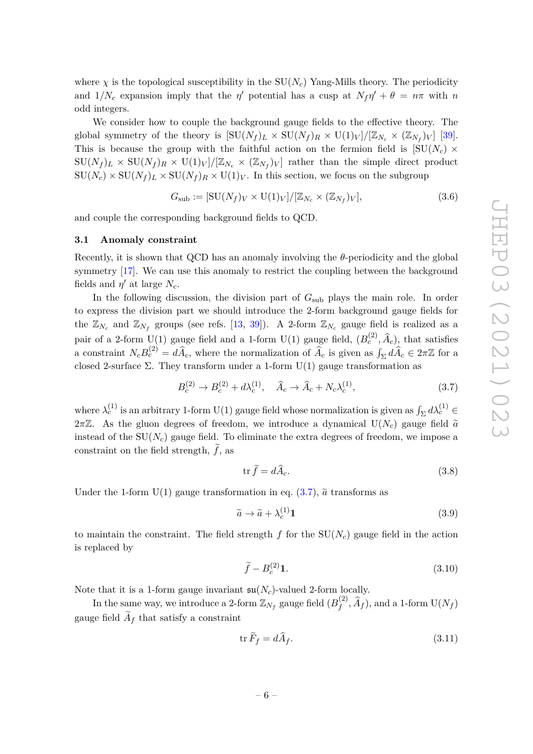where  $\chi$  is the topological susceptibility in the  $SU(N_c)$  Yang-Mills theory. The periodicity and  $1/N_c$  expansion imply that the *η*<sup>'</sup> potential has a cusp at  $N_f\eta' + \theta = n\pi$  with *n* odd integers.

We consider how to couple the background gauge fields to the effective theory. The global symmetry of the theory is  $[\text{SU}(N_f)_L \times \text{SU}(N_f)_R \times \text{U}(1)_V]/[\mathbb{Z}_{N_c} \times (\mathbb{Z}_{N_f})_V]$  [\[39\]](#page-26-7). This is because the group with the faithful action on the fermion field is  $[SU(N_c) \times$  $SU(N_f)_L \times SU(N_f)_R \times U(1)_V]/[\mathbb{Z}_{N_c} \times (\mathbb{Z}_{N_f})_V]$  rather than the simple direct product  $SU(N_c) \times SU(N_f)_L \times SU(N_f)_R \times U(1)_V$ . In this section, we focus on the subgroup

$$
G_{\text{sub}} := \left[ \text{SU}(N_f)_V \times \text{U}(1)_V \right] / \left[ \mathbb{Z}_{N_c} \times (\mathbb{Z}_{N_f})_V \right],\tag{3.6}
$$

and couple the corresponding background fields to QCD.

# <span id="page-6-0"></span>**3.1 Anomaly constraint**

Recently, it is shown that QCD has an anomaly involving the *θ*-periodicity and the global symmetry [\[17\]](#page-25-3). We can use this anomaly to restrict the coupling between the background fields and  $\eta'$  at large  $N_c$ .

In the following discussion, the division part of  $G_{sub}$  plays the main role. In order to express the division part we should introduce the 2-form background gauge fields for the  $\mathbb{Z}_{N_c}$  and  $\mathbb{Z}_{N_f}$  groups (see refs. [\[13,](#page-25-1) [39\]](#page-26-7)). A 2-form  $\mathbb{Z}_{N_c}$  gauge field is realized as a pair of a 2-form  $U(1)$  gauge field and a 1-form  $U(1)$  gauge field,  $(B_c^{(2)}, \hat{A}_c)$ , that satisfies a constraint  $N_c B_c^{(2)} = d\hat{A}_c$ , where the normalization of  $\hat{A}_c$  is given as  $\int_{\Sigma} d\hat{A}_c \in 2\pi \mathbb{Z}$  for a closed 2-surface Σ. They transform under a 1-form  $U(1)$  gauge transformation as

$$
B_c^{(2)} \to B_c^{(2)} + d\lambda_c^{(1)}, \quad \hat{A}_c \to \hat{A}_c + N_c \lambda_c^{(1)}, \tag{3.7}
$$

where  $\lambda_c^{(1)}$  is an arbitrary 1-form U(1) gauge field whose normalization is given as  $\int_{\Sigma} d\lambda_c^{(1)} \in$  $2\pi\mathbb{Z}$ . As the gluon degrees of freedom, we introduce a dynamical  $U(N_c)$  gauge field  $\tilde{a}$ instead of the  $SU(N_c)$  gauge field. To eliminate the extra degrees of freedom, we impose a constraint on the field strength,  $\hat{f}$ , as

<span id="page-6-1"></span>
$$
\operatorname{tr}\widetilde{f}=d\widehat{A}_c.\tag{3.8}
$$

Under the 1-form  $U(1)$  gauge transformation in eq.  $(3.7)$ ,  $\tilde{a}$  transforms as

$$
\tilde{a} \to \tilde{a} + \lambda_c^{(1)} \mathbf{1} \tag{3.9}
$$

to maintain the constraint. The field strength  $f$  for the  $SU(N_c)$  gauge field in the action is replaced by

$$
\widetilde{f} - B_c^{(2)} \mathbf{1}.\tag{3.10}
$$

Note that it is a 1-form gauge invariant  $\mathfrak{su}(N_c)$ -valued 2-form locally.

In the same way, we introduce a 2-form  $\mathbb{Z}_{N_f}$  gauge field  $(B_f^{(2)})$  $f_f^{(2)}, \tilde{A}_f$ ), and a 1-form  $U(N_f)$ gauge field  $A_f$  that satisfy a constraint

$$
\operatorname{tr} \widetilde{F}_f = d\widehat{A}_f. \tag{3.11}
$$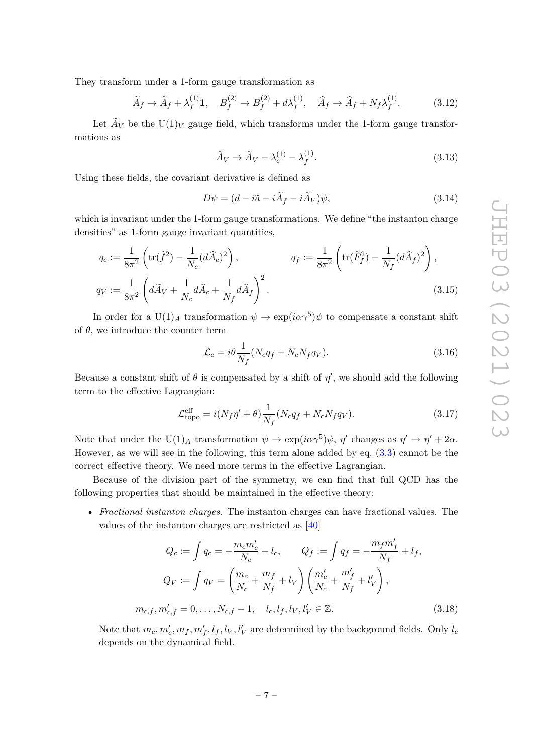They transform under a 1-form gauge transformation as

$$
\widetilde{A}_f \to \widetilde{A}_f + \lambda_f^{(1)} \mathbf{1}, \quad B_f^{(2)} \to B_f^{(2)} + d\lambda_f^{(1)}, \quad \widehat{A}_f \to \widehat{A}_f + N_f \lambda_f^{(1)}.
$$
 (3.12)

Let  $A_V$  be the  $U(1)_V$  gauge field, which transforms under the 1-form gauge transformations as

<span id="page-7-3"></span><span id="page-7-2"></span>
$$
\widetilde{A}_V \to \widetilde{A}_V - \lambda_c^{(1)} - \lambda_f^{(1)}.
$$
\n(3.13)

Using these fields, the covariant derivative is defined as

$$
D\psi = (d - i\tilde{a} - i\tilde{A}_f - i\tilde{A}_V)\psi,
$$
\n(3.14)

which is invariant under the 1-form gauge transformations. We define "the instanton charge densities" as 1-form gauge invariant quantities,

$$
q_c := \frac{1}{8\pi^2} \left( \text{tr}(\tilde{f}^2) - \frac{1}{N_c} (d\hat{A}_c)^2 \right), \qquad q_f := \frac{1}{8\pi^2} \left( \text{tr}(\tilde{F}_f^2) - \frac{1}{N_f} (d\hat{A}_f)^2 \right),
$$
  

$$
q_V := \frac{1}{8\pi^2} \left( d\tilde{A}_V + \frac{1}{N_c} d\hat{A}_c + \frac{1}{N_f} d\hat{A}_f \right)^2.
$$
 (3.15)

In order for a  $U(1)_A$  transformation  $\psi \to \exp(i\alpha \gamma^5)\psi$  to compensate a constant shift of  $\theta$ , we introduce the counter term

<span id="page-7-1"></span><span id="page-7-0"></span>
$$
\mathcal{L}_c = i\theta \frac{1}{N_f} (N_c q_f + N_c N_f q_V). \tag{3.16}
$$

Because a constant shift of  $\theta$  is compensated by a shift of  $\eta'$ , we should add the following term to the effective Lagrangian:

$$
\mathcal{L}_{\text{topo}}^{\text{eff}} = i(N_f \eta' + \theta) \frac{1}{N_f} (N_c q_f + N_c N_f q_V). \tag{3.17}
$$

Note that under the  $U(1)_A$  transformation  $\psi \to \exp(i\alpha \gamma^5)\psi$ ,  $\eta'$  changes as  $\eta' \to \eta' + 2\alpha$ . However, as we will see in the following, this term alone added by eq. [\(3.3\)](#page-5-2) cannot be the correct effective theory. We need more terms in the effective Lagrangian.

Because of the division part of the symmetry, we can find that full QCD has the following properties that should be maintained in the effective theory:

• *Fractional instanton charges.* The instanton charges can have fractional values. The values of the instanton charges are restricted as [\[40\]](#page-26-8)

$$
Q_c := \int q_c = -\frac{m_c m'_c}{N_c} + l_c, \qquad Q_f := \int q_f = -\frac{m_f m'_f}{N_f} + l_f,
$$
  

$$
Q_V := \int q_V = \left(\frac{m_c}{N_c} + \frac{m_f}{N_f} + l_V\right) \left(\frac{m'_c}{N_c} + \frac{m'_f}{N_f} + l'_V\right),
$$
  

$$
m_{c,f}, m'_{c,f} = 0, \dots, N_{c,f} - 1, \quad l_c, l_f, l_V, l'_V \in \mathbb{Z}.
$$
 (3.18)

Note that  $m_c, m'_c, m_f, m'_f, l_f, l_V, l'_V$  are determined by the background fields. Only  $l_c$ depends on the dynamical field.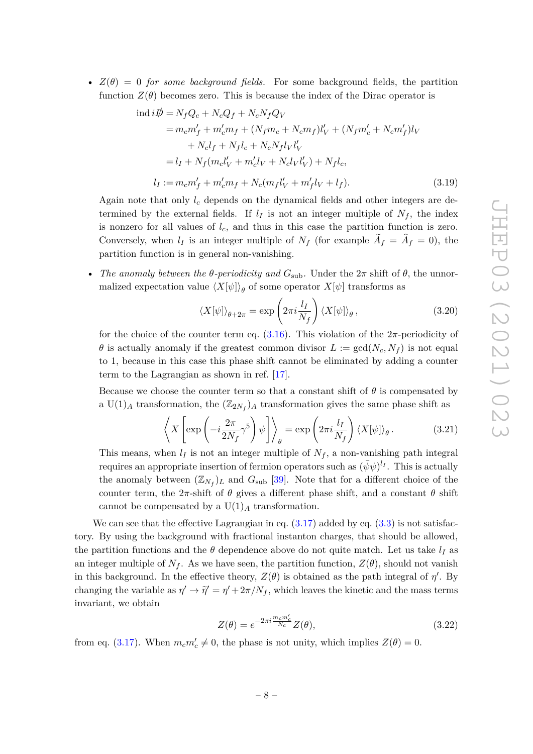•  $Z(\theta) = 0$  *for some background fields.* For some background fields, the partition function  $Z(\theta)$  becomes zero. This is because the index of the Dirac operator is

$$
\text{ind } i\rlap{/} \n\vec{p} = N_f Q_c + N_c Q_f + N_c N_f Q_V
$$
\n
$$
= m_c m_f' + m_c' m_f + (N_f m_c + N_c m_f) l_V' + (N_f m_c' + N_c m_f') l_V
$$
\n
$$
+ N_c l_f + N_f l_c + N_c N_f l_V l_V'
$$
\n
$$
= l_I + N_f (m_c l_V' + m_c' l_V + N_c l_V l_V') + N_f l_c,
$$
\n
$$
l_I := m_c m_f' + m_c' m_f + N_c (m_f l_V' + m_f' l_V + l_f).
$$
\n(3.19)

Again note that only *l<sup>c</sup>* depends on the dynamical fields and other integers are determined by the external fields. If  $l_I$  is not an integer multiple of  $N_f$ , the index is nonzero for all values of *lc*, and thus in this case the partition function is zero. Conversely, when  $l_I$  is an integer multiple of  $N_f$  (for example  $A_f = A_f = 0$ ), the partition function is in general non-vanishing.

• *The anomaly between the*  $\theta$ *-periodicity and*  $G_{sub}$ . Under the  $2\pi$  shift of  $\theta$ , the unnormalized expectation value  $\langle X[\psi] \rangle_{\theta}$  of some operator  $X[\psi]$  transforms as

<span id="page-8-2"></span><span id="page-8-0"></span>
$$
\langle X[\psi] \rangle_{\theta+2\pi} = \exp\left(2\pi i \frac{l_I}{N_f}\right) \langle X[\psi] \rangle_{\theta},\tag{3.20}
$$

for the choice of the counter term eq.  $(3.16)$ . This violation of the  $2\pi$ -periodicity of *θ* is actually anomaly if the greatest common divisor  $L := \text{gcd}(N_c, N_f)$  is not equal to 1, because in this case this phase shift cannot be eliminated by adding a counter term to the Lagrangian as shown in ref. [\[17\]](#page-25-3).

Because we choose the counter term so that a constant shift of  $\theta$  is compensated by a  $U(1)_A$  transformation, the  $(\mathbb{Z}_{2N_f})_A$  transformation gives the same phase shift as

$$
\left\langle X\left[\exp\left(-i\frac{2\pi}{2N_f}\gamma^5\right)\psi\right]\right\rangle_{\theta} = \exp\left(2\pi i\frac{l_I}{N_f}\right)\langle X[\psi]\rangle_{\theta}.
$$
 (3.21)

This means, when  $l_I$  is not an integer multiple of  $N_f$ , a non-vanishing path integral requires an appropriate insertion of fermion operators such as  $(\bar{\psi}\psi)^{l_I}$ . This is actually the anomaly between  $(\mathbb{Z}_{N_f})_L$  and  $G_{\text{sub}}$  [\[39\]](#page-26-7). Note that for a different choice of the counter term, the  $2\pi$ -shift of  $\theta$  gives a different phase shift, and a constant  $\theta$  shift cannot be compensated by a  $U(1)<sub>A</sub>$  transformation.

We can see that the effective Lagrangian in eq.  $(3.17)$  added by eq.  $(3.3)$  is not satisfactory. By using the background with fractional instanton charges, that should be allowed, the partition functions and the  $\theta$  dependence above do not quite match. Let us take  $l_I$  as an integer multiple of  $N_f$ . As we have seen, the partition function,  $Z(\theta)$ , should not vanish in this background. In the effective theory,  $Z(\theta)$  is obtained as the path integral of  $\eta'$ . By changing the variable as  $\eta' \to \tilde{\eta}' = \eta' + 2\pi/N_f$ , which leaves the kinetic and the mass terms invariant, we obtain

<span id="page-8-1"></span>
$$
Z(\theta) = e^{-2\pi i \frac{m_c m'_c}{N_c}} Z(\theta),
$$
\n(3.22)

from eq. [\(3.17\)](#page-7-1). When  $m_c m'_c \neq 0$ , the phase is not unity, which implies  $Z(\theta) = 0$ .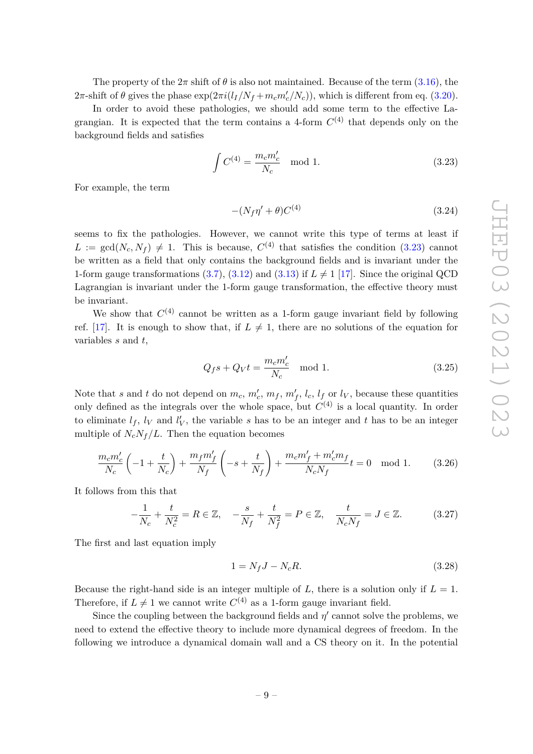The property of the  $2\pi$  shift of  $\theta$  is also not maintained. Because of the term [\(3.16\)](#page-7-0), the 2π-shift of *θ* gives the phase  $exp(2\pi i (l_I/N_f + m_c m_c'/N_c))$ , which is different from eq. [\(3.20\)](#page-8-0).

In order to avoid these pathologies, we should add some term to the effective Lagrangian. It is expected that the term contains a 4-form  $C^{(4)}$  that depends only on the background fields and satisfies

$$
\int C^{(4)} = \frac{m_c m_c'}{N_c} \mod 1.
$$
\n(3.23)

For example, the term

<span id="page-9-0"></span>
$$
-(N_f \eta' + \theta)C^{(4)}\tag{3.24}
$$

seems to fix the pathologies. However, we cannot write this type of terms at least if  $L := \text{gcd}(N_c, N_f) \neq 1$ . This is because,  $C^{(4)}$  that satisfies the condition [\(3.23\)](#page-9-0) cannot be written as a field that only contains the background fields and is invariant under the 1-form gauge transformations [\(3.7\)](#page-6-1), [\(3.12\)](#page-7-2) and [\(3.13\)](#page-7-3) if  $L \neq 1$  [\[17\]](#page-25-3). Since the original QCD Lagrangian is invariant under the 1-form gauge transformation, the effective theory must be invariant.

We show that  $C^{(4)}$  cannot be written as a 1-form gauge invariant field by following ref. [\[17\]](#page-25-3). It is enough to show that, if  $L \neq 1$ , there are no solutions of the equation for variables *s* and *t*,

$$
Q_f s + Q_V t = \frac{m_c m_c'}{N_c} \mod 1.
$$
\n(3.25)

Note that *s* and *t* do not depend on  $m_c$ ,  $m'_c$ ,  $m_f$ ,  $m'_f$ ,  $l_c$ ,  $l_f$  or  $l_V$ , because these quantities only defined as the integrals over the whole space, but  $C^{(4)}$  is a local quantity. In order to eliminate  $l_f$ ,  $l_V$  and  $l'_V$ , the variable *s* has to be an integer and *t* has to be an integer multiple of  $N_cN_f/L$ . Then the equation becomes

$$
\frac{m_c m_c'}{N_c} \left( -1 + \frac{t}{N_c} \right) + \frac{m_f m_f'}{N_f} \left( -s + \frac{t}{N_f} \right) + \frac{m_c m_f' + m_c' m_f}{N_c N_f} t = 0 \mod 1. \tag{3.26}
$$

It follows from this that

$$
-\frac{1}{N_c} + \frac{t}{N_c^2} = R \in \mathbb{Z}, \quad -\frac{s}{N_f} + \frac{t}{N_f^2} = P \in \mathbb{Z}, \quad \frac{t}{N_c N_f} = J \in \mathbb{Z}.
$$
 (3.27)

The first and last equation imply

$$
1 = N_f J - N_c R.\tag{3.28}
$$

Because the right-hand side is an integer multiple of  $L$ , there is a solution only if  $L = 1$ . Therefore, if  $L \neq 1$  we cannot write  $C^{(4)}$  as a 1-form gauge invariant field.

Since the coupling between the background fields and  $\eta'$  cannot solve the problems, we need to extend the effective theory to include more dynamical degrees of freedom. In the following we introduce a dynamical domain wall and a CS theory on it. In the potential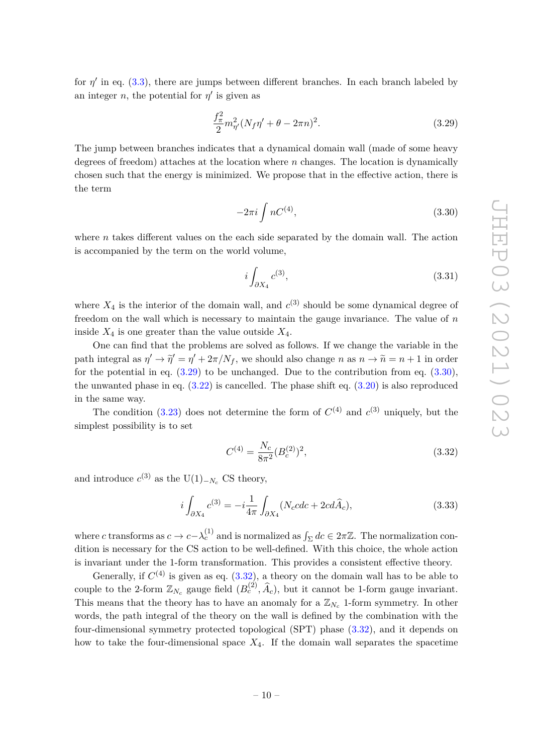for  $\eta'$  in eq. [\(3.3\)](#page-5-2), there are jumps between different branches. In each branch labeled by an integer *n*, the potential for  $\eta'$  is given as

$$
\frac{f_{\pi}^2}{2}m_{\eta'}^2 (N_f \eta' + \theta - 2\pi n)^2.
$$
 (3.29)

The jump between branches indicates that a dynamical domain wall (made of some heavy degrees of freedom) attaches at the location where *n* changes. The location is dynamically chosen such that the energy is minimized. We propose that in the effective action, there is the term

<span id="page-10-1"></span><span id="page-10-0"></span>
$$
-2\pi i \int nC^{(4)},\tag{3.30}
$$

where  $n$  takes different values on the each side separated by the domain wall. The action is accompanied by the term on the world volume,

$$
i\int_{\partial X_4} c^{(3)},\tag{3.31}
$$

where  $X_4$  is the interior of the domain wall, and  $c^{(3)}$  should be some dynamical degree of freedom on the wall which is necessary to maintain the gauge invariance. The value of *n* inside  $X_4$  is one greater than the value outside  $X_4$ .

One can find that the problems are solved as follows. If we change the variable in the path integral as  $\eta' \to \tilde{\eta}' = \eta' + 2\pi/N_f$ , we should also change *n* as  $n \to \tilde{n} = n + 1$  in order for the potential in eq.  $(3.29)$  to be unchanged. Due to the contribution from eq.  $(3.30)$ , the unwanted phase in eq.  $(3.22)$  is cancelled. The phase shift eq.  $(3.20)$  is also reproduced in the same way.

The condition  $(3.23)$  does not determine the form of  $C^{(4)}$  and  $c^{(3)}$  uniquely, but the simplest possibility is to set

<span id="page-10-2"></span>
$$
C^{(4)} = \frac{N_c}{8\pi^2} (B_c^{(2)})^2,
$$
\n(3.32)

and introduce  $c^{(3)}$  as the U(1)<sub>-*N<sub>c</sub>*</sub> CS theory,

$$
i\int_{\partial X_4} c^{(3)} = -i\frac{1}{4\pi} \int_{\partial X_4} (N_c cdc + 2cd\hat{A}_c), \tag{3.33}
$$

where *c* transforms as  $c \to c - \lambda_c^{(1)}$  and is normalized as  $\int_{\Sigma} dc \in 2\pi \mathbb{Z}$ . The normalization condition is necessary for the CS action to be well-defined. With this choice, the whole action is invariant under the 1-form transformation. This provides a consistent effective theory.

Generally, if  $C^{(4)}$  is given as eq.  $(3.32)$ , a theory on the domain wall has to be able to couple to the 2-form  $\mathbb{Z}_{N_c}$  gauge field  $(B_c^{(2)}, \hat{A}_c)$ , but it cannot be 1-form gauge invariant. This means that the theory has to have an anomaly for a  $\mathbb{Z}_{N_c}$  1-form symmetry. In other words, the path integral of the theory on the wall is defined by the combination with the four-dimensional symmetry protected topological (SPT) phase [\(3.32\)](#page-10-2), and it depends on how to take the four-dimensional space *X*4. If the domain wall separates the spacetime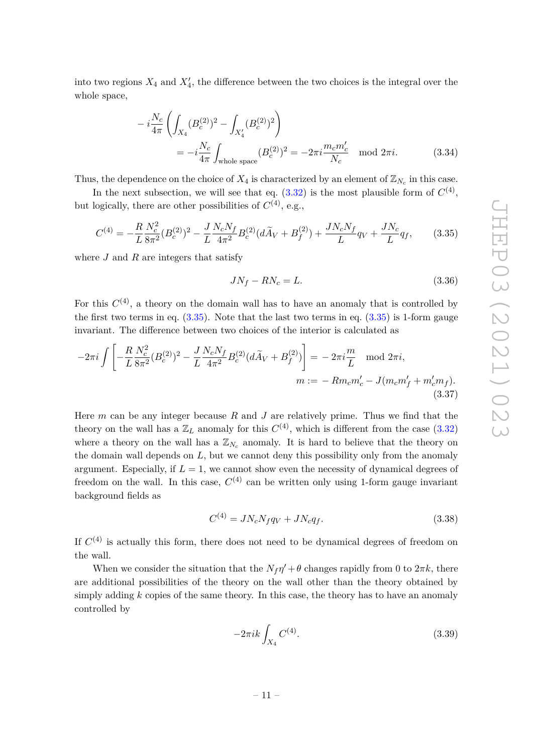into two regions  $X_4$  and  $X'_4$ , the difference between the two choices is the integral over the whole space,

$$
-i\frac{N_c}{4\pi} \left( \int_{X_4} (B_c^{(2)})^2 - \int_{X'_4} (B_c^{(2)})^2 \right)
$$
  
=  $-i\frac{N_c}{4\pi} \int_{\text{whole space}} (B_c^{(2)})^2 = -2\pi i \frac{m_c m'_c}{N_c} \mod 2\pi i.$  (3.34)

Thus, the dependence on the choice of  $X_4$  is characterized by an element of  $\mathbb{Z}_{N_c}$  in this case.

In the next subsection, we will see that eq.  $(3.32)$  is the most plausible form of  $C^{(4)}$ , but logically, there are other possibilities of  $C^{(4)}$ , e.g.,

$$
C^{(4)} = -\frac{R}{L} \frac{N_c^2}{8\pi^2} (B_c^{(2)})^2 - \frac{J}{L} \frac{N_c N_f}{4\pi^2} B_c^{(2)} (d\tilde{A}_V + B_f^{(2)}) + \frac{J N_c N_f}{L} q_V + \frac{J N_c}{L} q_f, \qquad (3.35)
$$

where *J* and *R* are integers that satisfy

<span id="page-11-0"></span>
$$
JN_f - RN_c = L.\t\t(3.36)
$$

For this  $C^{(4)}$ , a theory on the domain wall has to have an anomaly that is controlled by the first two terms in eq.  $(3.35)$ . Note that the last two terms in eq.  $(3.35)$  is 1-form gauge invariant. The difference between two choices of the interior is calculated as

$$
-2\pi i \int \left[ -\frac{R}{L} \frac{N_c^2}{8\pi^2} (B_c^{(2)})^2 - \frac{J}{L} \frac{N_c N_f}{4\pi^2} B_c^{(2)} (d\tilde{A}_V + B_f^{(2)}) \right] = -2\pi i \frac{m}{L} \mod 2\pi i,
$$
  

$$
m := -Rm_c m_c' - J(m_c m_f' + m_c' m_f).
$$
(3.37)

Here *m* can be any integer because *R* and *J* are relatively prime. Thus we find that the theory on the wall has a  $\mathbb{Z}_L$  anomaly for this  $C^{(4)}$ , which is different from the case  $(3.32)$ where a theory on the wall has a  $\mathbb{Z}_{N_c}$  anomaly. It is hard to believe that the theory on the domain wall depends on *L*, but we cannot deny this possibility only from the anomaly argument. Especially, if  $L = 1$ , we cannot show even the necessity of dynamical degrees of freedom on the wall. In this case,  $C^{(4)}$  can be written only using 1-form gauge invariant background fields as

$$
C^{(4)} = JN_cN_fq_V + JN_cq_f.
$$
\n(3.38)

If  $C<sup>(4)</sup>$  is actually this form, there does not need to be dynamical degrees of freedom on the wall.

When we consider the situation that the  $N_f \eta' + \theta$  changes rapidly from 0 to  $2\pi k$ , there are additional possibilities of the theory on the wall other than the theory obtained by simply adding *k* copies of the same theory. In this case, the theory has to have an anomaly controlled by

$$
-2\pi ik \int_{X_4} C^{(4)}.\tag{3.39}
$$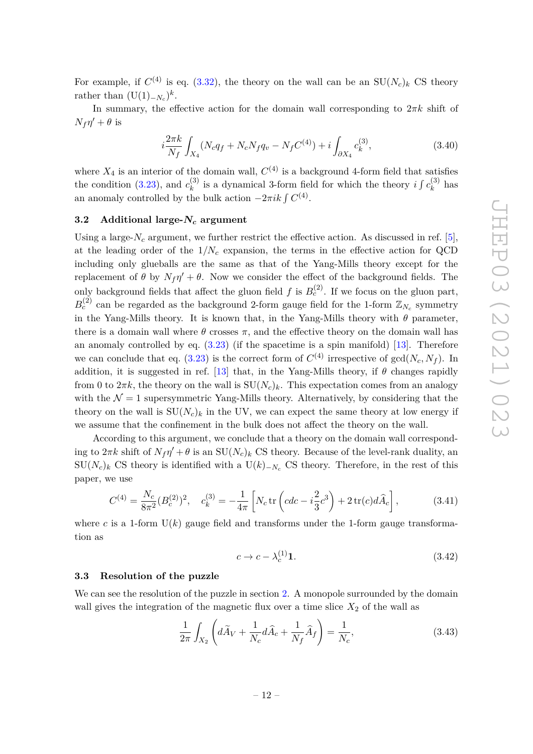For example, if  $C^{(4)}$  is eq. [\(3.32\)](#page-10-2), the theory on the wall can be an  $SU(N_c)_k$  CS theory rather than  $(U(1)_{-N_c})^k$ .

In summary, the effective action for the domain wall corresponding to  $2\pi k$  shift of  $N_f \eta' + \theta$  is

<span id="page-12-3"></span>
$$
i\frac{2\pi k}{N_f} \int_{X_4} (N_c q_f + N_c N_f q_v - N_f C^{(4)}) + i \int_{\partial X_4} c_k^{(3)},\tag{3.40}
$$

where  $X_4$  is an interior of the domain wall,  $C^{(4)}$  is a background 4-form field that satisfies the condition  $(3.23)$ , and  $c_k^{(3)}$  $k$ <sup>(3)</sup> is a dynamical 3-form field for which the theory *i*  $\int c_k^{(3)}$  $\hat{k}^{(0)}$  has an anomaly controlled by the bulk action  $-2\pi i k \int C^{(4)}$ .

# <span id="page-12-0"></span>**3.2 Additional large-***N<sup>c</sup>* **argument**

Using a large- $N_c$  argument, we further restrict the effective action. As discussed in ref. [\[5\]](#page-24-4), at the leading order of the  $1/N_c$  expansion, the terms in the effective action for QCD including only glueballs are the same as that of the Yang-Mills theory except for the replacement of  $\theta$  by  $N_f \eta' + \theta$ . Now we consider the effect of the background fields. The only background fields that affect the gluon field  $f$  is  $B_c^{(2)}$ . If we focus on the gluon part,  $B_c^{(2)}$  can be regarded as the background 2-form gauge field for the 1-form  $\mathbb{Z}_{N_c}$  symmetry in the Yang-Mills theory. It is known that, in the Yang-Mills theory with  $\theta$  parameter, there is a domain wall where  $\theta$  crosses  $\pi$ , and the effective theory on the domain wall has an anomaly controlled by eq.  $(3.23)$  (if the spacetime is a spin manifold) [\[13\]](#page-25-1). Therefore we can conclude that eq. [\(3.23\)](#page-9-0) is the correct form of  $C^{(4)}$  irrespective of  $gcd(N_c, N_f)$ . In addition, it is suggested in ref. [\[13\]](#page-25-1) that, in the Yang-Mills theory, if  $\theta$  changes rapidly from 0 to  $2\pi k$ , the theory on the wall is  $SU(N_c)_k$ . This expectation comes from an analogy with the  $\mathcal{N} = 1$  supersymmetric Yang-Mills theory. Alternatively, by considering that the theory on the wall is  $SU(N_c)_k$  in the UV, we can expect the same theory at low energy if we assume that the confinement in the bulk does not affect the theory on the wall.

According to this argument, we conclude that a theory on the domain wall corresponding to  $2\pi k$  shift of  $N_f\eta' + \theta$  is an  $SU(N_c)_k$  CS theory. Because of the level-rank duality, an  $SU(N_c)$ <sup>k</sup> CS theory is identified with a  $U(k)$ <sub>−*N<sub>c</sub>*</sub> CS theory. Therefore, in the rest of this paper, we use

$$
C^{(4)} = \frac{N_c}{8\pi^2} (B_c^{(2)})^2, \quad c_k^{(3)} = -\frac{1}{4\pi} \left[ N_c \operatorname{tr} \left( cdc - i\frac{2}{3}c^3 \right) + 2 \operatorname{tr}(c)d\widehat{A}_c \right],\tag{3.41}
$$

where *c* is a 1-form  $U(k)$  gauge field and transforms under the 1-form gauge transformation as

<span id="page-12-2"></span>
$$
c \to c - \lambda_c^{(1)} \mathbf{1}.\tag{3.42}
$$

# <span id="page-12-1"></span>**3.3 Resolution of the puzzle**

We can see the resolution of the puzzle in section [2.](#page-4-0) A monopole surrounded by the domain wall gives the integration of the magnetic flux over a time slice  $X_2$  of the wall as

$$
\frac{1}{2\pi} \int_{X_2} \left( d\tilde{A}_V + \frac{1}{N_c} d\hat{A}_c + \frac{1}{N_f} \hat{A}_f \right) = \frac{1}{N_c},\tag{3.43}
$$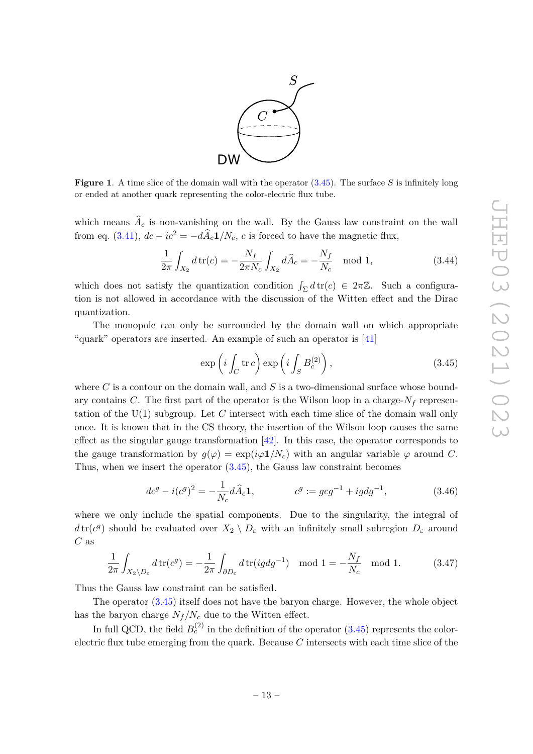

<span id="page-13-1"></span>**Figure 1**. A time slice of the domain wall with the operator [\(3.45\)](#page-13-0). The surface *S* is infinitely long or ended at another quark representing the color-electric flux tube.

which means  $A_c$  is non-vanishing on the wall. By the Gauss law constraint on the wall from eq. [\(3.41\)](#page-12-2),  $dc - ic^2 = -d\hat{A}_c \mathbf{1}/N_c$ , *c* is forced to have the magnetic flux,

$$
\frac{1}{2\pi} \int_{X_2} d\,\text{tr}(c) = -\frac{N_f}{2\pi N_c} \int_{X_2} d\widehat{A}_c = -\frac{N_f}{N_c} \mod 1,\tag{3.44}
$$

which does not satisfy the quantization condition  $\int_{\Sigma} d\text{tr}(c) \in 2\pi\mathbb{Z}$ . Such a configuration is not allowed in accordance with the discussion of the Witten effect and the Dirac quantization.

The monopole can only be surrounded by the domain wall on which appropriate "quark" operators are inserted. An example of such an operator is [\[41\]](#page-26-9)

<span id="page-13-0"></span>
$$
\exp\left(i\int_C \operatorname{tr}c\right)\exp\left(i\int_S B_c^{(2)}\right),\tag{3.45}
$$

where *C* is a contour on the domain wall, and *S* is a two-dimensional surface whose boundary contains *C*. The first part of the operator is the Wilson loop in a charge- $N_f$  representation of the U(1) subgroup. Let *C* intersect with each time slice of the domain wall only once. It is known that in the CS theory, the insertion of the Wilson loop causes the same effect as the singular gauge transformation [\[42\]](#page-26-10). In this case, the operator corresponds to the gauge transformation by  $g(\varphi) = \exp(i\varphi \mathbf{1}/N_c)$  with an angular variable  $\varphi$  around *C*. Thus, when we insert the operator [\(3.45\)](#page-13-0), the Gauss law constraint becomes

$$
dc^{g} - i(c^{g})^{2} = -\frac{1}{N_{c}} d\hat{A}_{c} \mathbf{1}, \qquad c^{g} := gcg^{-1} + igdg^{-1}, \qquad (3.46)
$$

where we only include the spatial components. Due to the singularity, the integral of  $d \text{tr}(c^g)$  should be evaluated over  $X_2 \setminus D_\varepsilon$  with an infinitely small subregion  $D_\varepsilon$  around *C* as

$$
\frac{1}{2\pi} \int_{X_2 \setminus D_{\varepsilon}} d\operatorname{tr}(c^g) = -\frac{1}{2\pi} \int_{\partial D_{\varepsilon}} d\operatorname{tr}(ig dg^{-1}) \mod 1 = -\frac{N_f}{N_c} \mod 1. \tag{3.47}
$$

Thus the Gauss law constraint can be satisfied.

The operator [\(3.45\)](#page-13-0) itself does not have the baryon charge. However, the whole object has the baryon charge  $N_f/N_c$  due to the Witten effect.

In full QCD, the field  $B_c^{(2)}$  in the definition of the operator  $(3.45)$  represents the colorelectric flux tube emerging from the quark. Because *C* intersects with each time slice of the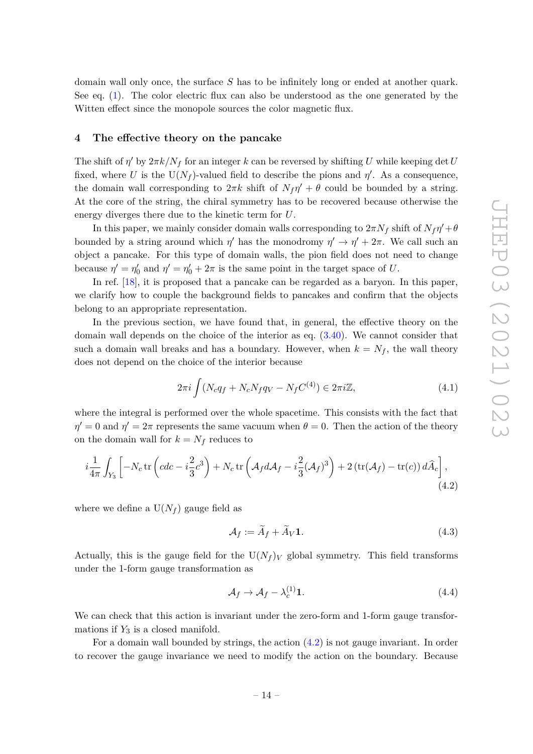domain wall only once, the surface *S* has to be infinitely long or ended at another quark. See eq. [\(1\)](#page-13-1). The color electric flux can also be understood as the one generated by the Witten effect since the monopole sources the color magnetic flux.

#### <span id="page-14-0"></span>**4 The effective theory on the pancake**

The shift of  $\eta'$  by  $2\pi k/N_f$  for an integer  $k$  can be reversed by shifting *U* while keeping det *U* fixed, where U is the  $U(N_f)$ -valued field to describe the pions and  $\eta'$ . As a consequence, the domain wall corresponding to  $2\pi k$  shift of  $N_f\eta' + \theta$  could be bounded by a string. At the core of the string, the chiral symmetry has to be recovered because otherwise the energy diverges there due to the kinetic term for *U*.

In this paper, we mainly consider domain walls corresponding to  $2\pi N_f$  shift of  $N_f\eta' + \theta$ bounded by a string around which  $\eta'$  has the monodromy  $\eta' \to \eta' + 2\pi$ . We call such an object a pancake. For this type of domain walls, the pion field does not need to change because  $\eta' = \eta'_0$  and  $\eta' = \eta'_0 + 2\pi$  is the same point in the target space of *U*.

In ref. [\[18\]](#page-25-4), it is proposed that a pancake can be regarded as a baryon. In this paper, we clarify how to couple the background fields to pancakes and confirm that the objects belong to an appropriate representation.

In the previous section, we have found that, in general, the effective theory on the domain wall depends on the choice of the interior as eq. [\(3.40\)](#page-12-3). We cannot consider that such a domain wall breaks and has a boundary. However, when  $k = N_f$ , the wall theory does not depend on the choice of the interior because

$$
2\pi i \int (N_c q_f + N_c N_f q_V - N_f C^{(4)}) \in 2\pi i \mathbb{Z},\tag{4.1}
$$

where the integral is performed over the whole spacetime. This consists with the fact that  $\eta' = 0$  and  $\eta' = 2\pi$  represents the same vacuum when  $\theta = 0$ . Then the action of the theory on the domain wall for  $k = N_f$  reduces to

$$
i\frac{1}{4\pi} \int_{Y_3} \left[ -N_c \operatorname{tr} \left( cdc - i\frac{2}{3}c^3 \right) + N_c \operatorname{tr} \left( \mathcal{A}_f d\mathcal{A}_f - i\frac{2}{3} (\mathcal{A}_f)^3 \right) + 2 \left( \operatorname{tr}(\mathcal{A}_f) - \operatorname{tr}(c) \right) d\widehat{A}_c \right],\tag{4.2}
$$

where we define a  $U(N_f)$  gauge field as

<span id="page-14-1"></span>
$$
\mathcal{A}_f := \tilde{A}_f + \tilde{A}_V \mathbf{1}.\tag{4.3}
$$

Actually, this is the gauge field for the  $U(N_f)_V$  global symmetry. This field transforms under the 1-form gauge transformation as

$$
\mathcal{A}_f \to \mathcal{A}_f - \lambda_c^{(1)} \mathbf{1}.\tag{4.4}
$$

We can check that this action is invariant under the zero-form and 1-form gauge transformations if  $Y_3$  is a closed manifold.

For a domain wall bounded by strings, the action  $(4.2)$  is not gauge invariant. In order to recover the gauge invariance we need to modify the action on the boundary. Because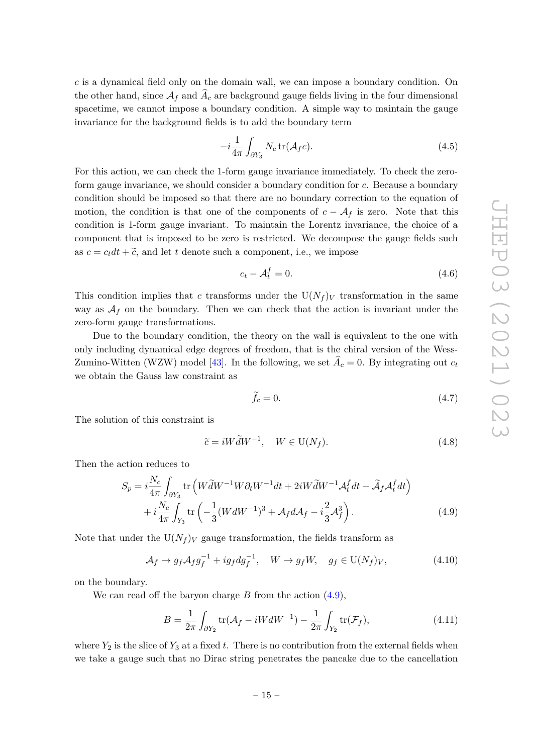*c* is a dynamical field only on the domain wall, we can impose a boundary condition. On the other hand, since  $A_f$  and  $A_c$  are background gauge fields living in the four dimensional spacetime, we cannot impose a boundary condition. A simple way to maintain the gauge invariance for the background fields is to add the boundary term

<span id="page-15-1"></span>
$$
-i\frac{1}{4\pi} \int_{\partial Y_3} N_c \operatorname{tr}(\mathcal{A}_f c). \tag{4.5}
$$

For this action, we can check the 1-form gauge invariance immediately. To check the zeroform gauge invariance, we should consider a boundary condition for *c*. Because a boundary condition should be imposed so that there are no boundary correction to the equation of motion, the condition is that one of the components of  $c - \mathcal{A}_f$  is zero. Note that this condition is 1-form gauge invariant. To maintain the Lorentz invariance, the choice of a component that is imposed to be zero is restricted. We decompose the gauge fields such as  $c = c_t dt + \tilde{c}$ , and let *t* denote such a component, i.e., we impose

$$
c_t - \mathcal{A}_t^f = 0. \tag{4.6}
$$

This condition implies that *c* transforms under the  $U(N_f)$  transformation in the same way as  $A_f$  on the boundary. Then we can check that the action is invariant under the zero-form gauge transformations.

Due to the boundary condition, the theory on the wall is equivalent to the one with only including dynamical edge degrees of freedom, that is the chiral version of the Wess-Zumino-Witten (WZW) model [\[43\]](#page-26-11). In the following, we set  $\hat{A}_c = 0$ . By integrating out  $c_t$ we obtain the Gauss law constraint as

<span id="page-15-0"></span>
$$
\hat{f}_c = 0.\tag{4.7}
$$

The solution of this constraint is

$$
\tilde{c} = iW\tilde{d}W^{-1}, \quad W \in \mathcal{U}(N_f). \tag{4.8}
$$

Then the action reduces to

$$
S_p = i\frac{N_c}{4\pi} \int_{\partial Y_3} \text{tr}\left(W\tilde{d}W^{-1}W\partial_t W^{-1}dt + 2iW\tilde{d}W^{-1}\mathcal{A}_t^f dt - \tilde{\mathcal{A}}_f \mathcal{A}_t^f dt\right) + i\frac{N_c}{4\pi} \int_{Y_3} \text{tr}\left(-\frac{1}{3}(WdW^{-1})^3 + \mathcal{A}_f d\mathcal{A}_f - i\frac{2}{3}\mathcal{A}_f^3\right).
$$
 (4.9)

Note that under the  $U(N_f)_V$  gauge transformation, the fields transform as

$$
\mathcal{A}_f \to g_f \mathcal{A}_f g_f^{-1} + ig_f dg_f^{-1}, \quad W \to g_f W, \quad g_f \in U(N_f)_V, \tag{4.10}
$$

on the boundary.

We can read off the baryon charge *B* from the action [\(4.9\)](#page-15-0),

<span id="page-15-2"></span>
$$
B = \frac{1}{2\pi} \int_{\partial Y_2} \text{tr}(\mathcal{A}_f - iW dW^{-1}) - \frac{1}{2\pi} \int_{Y_2} \text{tr}(\mathcal{F}_f), \tag{4.11}
$$

where  $Y_2$  is the slice of  $Y_3$  at a fixed t. There is no contribution from the external fields when we take a gauge such that no Dirac string penetrates the pancake due to the cancellation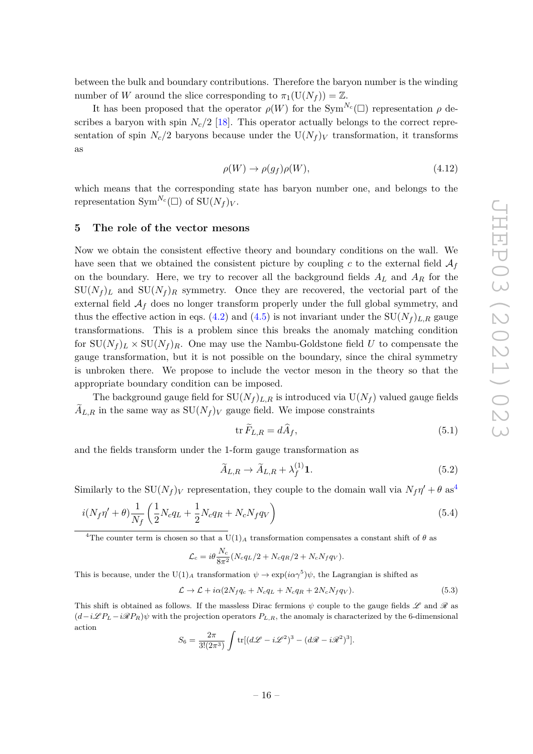between the bulk and boundary contributions. Therefore the baryon number is the winding number of *W* around the slice corresponding to  $\pi_1(U(N_f)) = \mathbb{Z}$ .

It has been proposed that the operator  $\rho(W)$  for the Sym<sup>N<sub>*c*</sub></sub>( $\Box$ ) representation  $\rho$  de-</sup> scribes a baryon with spin  $N_c/2$  [\[18\]](#page-25-4). This operator actually belongs to the correct representation of spin  $N_c/2$  baryons because under the  $U(N_f)_V$  transformation, it transforms as

$$
\rho(W) \to \rho(g_f)\rho(W), \tag{4.12}
$$

which means that the corresponding state has baryon number one, and belongs to the representation  $\text{Sym}^{N_c}(\square)$  of  $\text{SU}(N_f)_V$ .

## <span id="page-16-0"></span>**5 The role of the vector mesons**

Now we obtain the consistent effective theory and boundary conditions on the wall. We have seen that we obtained the consistent picture by coupling  $c$  to the external field  $\mathcal{A}_f$ on the boundary. Here, we try to recover all the background fields *A<sup>L</sup>* and *A<sup>R</sup>* for the  $SU(N_f)_L$  and  $SU(N_f)_R$  symmetry. Once they are recovered, the vectorial part of the external field  $A_f$  does no longer transform properly under the full global symmetry, and thus the effective action in eqs. [\(4.2\)](#page-14-1) and [\(4.5\)](#page-15-1) is not invariant under the  $SU(N_f)_{L,R}$  gauge transformations. This is a problem since this breaks the anomaly matching condition for  $SU(N_f)_L \times SU(N_f)_R$ . One may use the Nambu-Goldstone field *U* to compensate the gauge transformation, but it is not possible on the boundary, since the chiral symmetry is unbroken there. We propose to include the vector meson in the theory so that the appropriate boundary condition can be imposed.

The background gauge field for  $SU(N_f)_{L,R}$  is introduced via  $U(N_f)$  valued gauge fields  $A_{L,R}$  in the same way as  $SU(N_f)_V$  gauge field. We impose constraints

<span id="page-16-3"></span>
$$
\operatorname{tr} \widetilde{F}_{L,R} = d\widehat{A}_f,\tag{5.1}
$$

and the fields transform under the 1-form gauge transformation as

<span id="page-16-2"></span>
$$
\widetilde{A}_{L,R} \to \widetilde{A}_{L,R} + \lambda_f^{(1)} \mathbf{1}.\tag{5.2}
$$

Similarly to the  $SU(N_f)_V$  representation, they couple to the domain wall via  $N_f \eta' + \theta$  as<sup>[4](#page-16-1)</sup>

$$
i(N_f\eta' + \theta)\frac{1}{N_f}\left(\frac{1}{2}N_cq_L + \frac{1}{2}N_cq_R + N_cN_fq_V\right) \tag{5.4}
$$

<span id="page-16-1"></span><sup>4</sup>The counter term is chosen so that a U(1)<sub>*A*</sub> transformation compensates a constant shift of  $\theta$  as

$$
\mathcal{L}_c = i\theta \frac{N_c}{8\pi^2} (N_c q_L/2 + N_c q_R/2 + N_c N_f q_V).
$$

This is because, under the  $U(1)_A$  transformation  $\psi \to \exp(i\alpha \gamma^5)\psi$ , the Lagrangian is shifted as

$$
\mathcal{L} \to \mathcal{L} + i\alpha (2N_f q_c + N_c q_L + N_c q_R + 2N_c N_f q_V). \tag{5.3}
$$

This shift is obtained as follows. If the massless Dirac fermions  $\psi$  couple to the gauge fields  $\mathscr L$  and  $\mathscr R$  as  $(d-i\mathcal{L}PL - i\mathcal{R}PR)$ *ψ* with the projection operators  $P_{L,R}$ , the anomaly is characterized by the 6-dimensional action

$$
S_6 = \frac{2\pi}{3!(2\pi^3)} \int tr[(d\mathcal{L} - i\mathcal{L}^2)^3 - (d\mathcal{R} - i\mathcal{R}^2)^3].
$$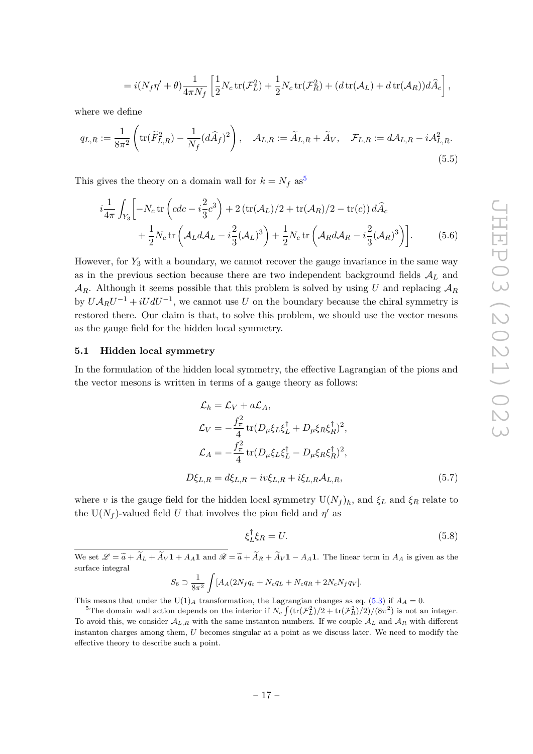$$
=i(N_f\eta'+\theta)\frac{1}{4\pi N_f}\left[\frac{1}{2}N_c\mathop{\rm tr}\nolimits(\mathcal{F}_L^2)+\frac{1}{2}N_c\mathop{\rm tr}\nolimits(\mathcal{F}_R^2)+(d\mathop{\rm tr}\nolimits(\mathcal{A}_L)+d\mathop{\rm tr}\nolimits(\mathcal{A}_R))d\widehat{A}_c\right],
$$

where we define

$$
q_{L,R} := \frac{1}{8\pi^2} \left( \text{tr}(\widetilde{F}_{L,R}^2) - \frac{1}{N_f} (d\widehat{A}_f)^2 \right), \quad \mathcal{A}_{L,R} := \widetilde{A}_{L,R} + \widetilde{A}_V, \quad \mathcal{F}_{L,R} := d\mathcal{A}_{L,R} - i\mathcal{A}_{L,R}^2.
$$
\n
$$
(5.5)
$$

This gives the theory on a domain wall for  $k = N_f$  as<sup>[5](#page-17-1)</sup>

$$
i\frac{1}{4\pi} \int_{Y_3} \left[ -N_c \operatorname{tr} \left( cdc - i\frac{2}{3}c^3 \right) + 2 \left( \operatorname{tr}(\mathcal{A}_L)/2 + \operatorname{tr}(\mathcal{A}_R)/2 - \operatorname{tr}(c) \right) d\hat{A}_c \right. + \frac{1}{2} N_c \operatorname{tr} \left( \mathcal{A}_L d\mathcal{A}_L - i\frac{2}{3} (\mathcal{A}_L)^3 \right) + \frac{1}{2} N_c \operatorname{tr} \left( \mathcal{A}_R d\mathcal{A}_R - i\frac{2}{3} (\mathcal{A}_R)^3 \right) \right].
$$
 (5.6)

However, for *Y*<sup>3</sup> with a boundary, we cannot recover the gauge invariance in the same way as in the previous section because there are two independent background fields A*<sup>L</sup>* and  $\mathcal{A}_R$ . Although it seems possible that this problem is solved by using *U* and replacing  $\mathcal{A}_R$ by  $U A_R U^{-1} + iU dU^{-1}$ , we cannot use *U* on the boundary because the chiral symmetry is restored there. Our claim is that, to solve this problem, we should use the vector mesons as the gauge field for the hidden local symmetry.

#### <span id="page-17-0"></span>**5.1 Hidden local symmetry**

In the formulation of the hidden local symmetry, the effective Lagrangian of the pions and the vector mesons is written in terms of a gauge theory as follows:

<span id="page-17-2"></span>
$$
\mathcal{L}_h = \mathcal{L}_V + a\mathcal{L}_A,
$$
\n
$$
\mathcal{L}_V = -\frac{f_\pi^2}{4} \text{tr}(D_\mu \xi_L \xi_L^\dagger + D_\mu \xi_R \xi_R^\dagger)^2,
$$
\n
$$
\mathcal{L}_A = -\frac{f_\pi^2}{4} \text{tr}(D_\mu \xi_L \xi_L^\dagger - D_\mu \xi_R \xi_R^\dagger)^2,
$$
\n
$$
D\xi_{L,R} = d\xi_{L,R} - iv\xi_{L,R} + i\xi_{L,R}A_{L,R},
$$
\n(5.7)

where *v* is the gauge field for the hidden local symmetry  $U(N_f)_h$ , and  $\xi_L$  and  $\xi_R$  relate to the U( $N_f$ )-valued field *U* that involves the pion field and  $\eta'$  as

$$
\xi_L^{\dagger} \xi_R = U. \tag{5.8}
$$

We set  $\mathscr{L} = \widetilde{a} + \widetilde{A}_L + \widetilde{A}_V \mathbf{1} + A_A \mathbf{1}$  and  $\mathscr{R} = \widetilde{a} + \widetilde{A}_R + \widetilde{A}_V \mathbf{1} - A_A \mathbf{1}$ . The linear term in  $A_A$  is given as the surface integral

$$
S_6 \supset \frac{1}{8\pi^2} \int [A_A(2N_fq_c + N_cq_L + N_cq_R + 2N_cN_fq_V].
$$

This means that under the U(1)<sub>A</sub> transformation, the Lagrangian changes as eq. [\(5.3\)](#page-16-2) if  $A_A = 0$ .

<span id="page-17-1"></span><sup>&</sup>lt;sup>5</sup>The domain wall action depends on the interior if  $N_c \int (tr(\mathcal{F}_L^2)/2 + tr(\mathcal{F}_R^2)/2)/(8\pi^2)$  is not an integer. To avoid this, we consider  $A_{L,R}$  with the same instanton numbers. If we couple  $A_L$  and  $A_R$  with different instanton charges among them, *U* becomes singular at a point as we discuss later. We need to modify the effective theory to describe such a point.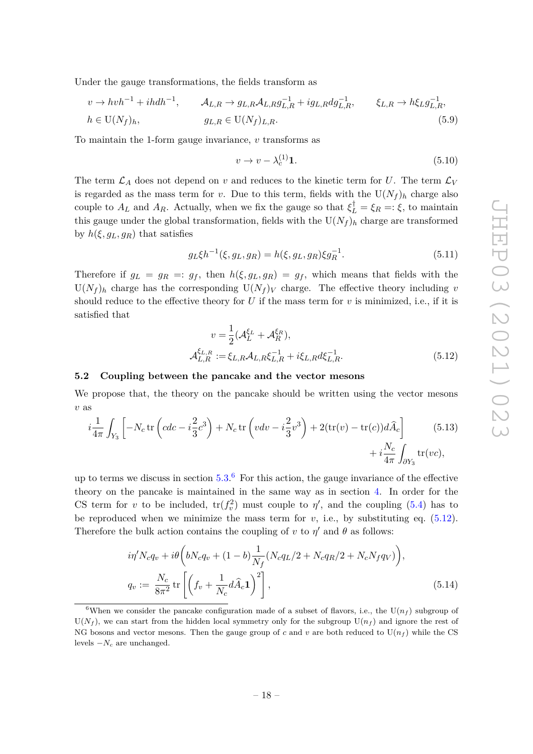Under the gauge transformations, the fields transform as

$$
v \to hvh^{-1} + ihdh^{-1}, \qquad \mathcal{A}_{L,R} \to g_{L,R}\mathcal{A}_{L,R}g_{L,R}^{-1} + ig_{L,R}dg_{L,R}^{-1}, \qquad \xi_{L,R} \to h\xi_L g_{L,R}^{-1},
$$
  
\n
$$
h \in \mathcal{U}(N_f)_h, \qquad g_{L,R} \in \mathcal{U}(N_f)_{L,R}.
$$
 (5.9)

To maintain the 1-form gauge invariance, *v* transforms as

$$
v \to v - \lambda_c^{(1)} \mathbf{1}.\tag{5.10}
$$

The term  $\mathcal{L}_A$  does not depend on *v* and reduces to the kinetic term for *U*. The term  $\mathcal{L}_V$ is regarded as the mass term for *v*. Due to this term, fields with the  $U(N_f)_h$  charge also couple to  $A_L$  and  $A_R$ . Actually, when we fix the gauge so that  $\xi_L^{\dagger} = \xi_R =: \xi$ , to maintain this gauge under the global transformation, fields with the  $U(N_f)_h$  charge are transformed by  $h(\xi, q_L, q_R)$  that satisfies

$$
g_L \xi h^{-1}(\xi, g_L, g_R) = h(\xi, g_L, g_R) \xi g_R^{-1}.
$$
\n(5.11)

Therefore if  $g_L = g_R =: g_f$ , then  $h(\xi, g_L, g_R) = g_f$ , which means that fields with the  $U(N_f)$ <sub>h</sub> charge has the corresponding  $U(N_f)$ <sub>V</sub> charge. The effective theory including *v* should reduce to the effective theory for *U* if the mass term for *v* is minimized, i.e., if it is satisfied that

<span id="page-18-4"></span><span id="page-18-2"></span>
$$
v = \frac{1}{2}(\mathcal{A}_L^{\xi_L} + \mathcal{A}_R^{\xi_R}),
$$
  

$$
\mathcal{A}_{L,R}^{\xi_{L,R}} := \xi_{L,R}\mathcal{A}_{L,R}\xi_{L,R}^{-1} + i\xi_{L,R}d\xi_{L,R}^{-1}.
$$
 (5.12)

# <span id="page-18-0"></span>**5.2 Coupling between the pancake and the vector mesons**

We propose that, the theory on the pancake should be written using the vector mesons *v* as

$$
i\frac{1}{4\pi} \int_{Y_3} \left[ -N_c \operatorname{tr} \left( cdc - i\frac{2}{3}c^3 \right) + N_c \operatorname{tr} \left( vdv - i\frac{2}{3}v^3 \right) + 2(\operatorname{tr}(v) - \operatorname{tr}(c))d\widehat{A}_c \right] + i\frac{N_c}{4\pi} \int_{\partial Y_3} \operatorname{tr}(vc),
$$
\n(5.13)

up to terms we discuss in section  $5.3.^6$  $5.3.^6$  $5.3.^6$  For this action, the gauge invariance of the effective theory on the pancake is maintained in the same way as in section [4.](#page-14-0) In order for the CS term for *v* to be included,  $tr(f_v^2)$  must couple to  $\eta'$ , and the coupling [\(5.4\)](#page-16-3) has to be reproduced when we minimize the mass term for  $v$ , i.e., by substituting eq.  $(5.12)$ . Therefore the bulk action contains the coupling of *v* to  $\eta'$  and  $\theta$  as follows:

<span id="page-18-3"></span>
$$
i\eta' N_c q_v + i\theta \left( bN_c q_v + (1-b)\frac{1}{N_f} (N_c q_L/2 + N_c q_R/2 + N_c N_f q_V) \right),
$$
  
\n
$$
q_v := \frac{N_c}{8\pi^2} \text{tr}\left[ \left( f_v + \frac{1}{N_c} d\hat{A}_c \mathbf{1} \right)^2 \right],
$$
\n(5.14)

<span id="page-18-1"></span><sup>&</sup>lt;sup>6</sup>When we consider the pancake configuration made of a subset of flavors, i.e., the  $U(n_f)$  subgroup of  $U(N_f)$ , we can start from the hidden local symmetry only for the subgroup  $U(n_f)$  and ignore the rest of NG bosons and vector mesons. Then the gauge group of *c* and *v* are both reduced to  $U(n_f)$  while the CS levels  $-N_c$  are unchanged.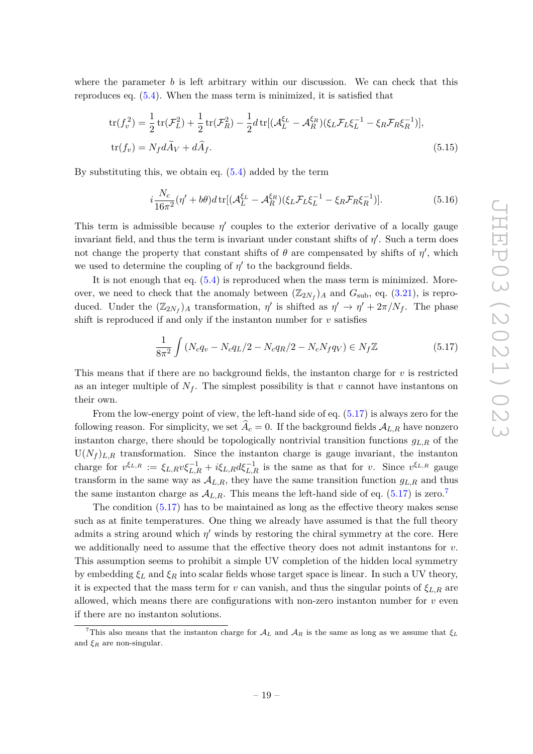where the parameter *b* is left arbitrary within our discussion. We can check that this reproduces eq. [\(5.4\)](#page-16-3). When the mass term is minimized, it is satisfied that

$$
\text{tr}(f_v^2) = \frac{1}{2}\,\text{tr}(\mathcal{F}_L^2) + \frac{1}{2}\,\text{tr}(\mathcal{F}_R^2) - \frac{1}{2}d\,\text{tr}[(\mathcal{A}_L^{\xi_L} - \mathcal{A}_R^{\xi_R})(\xi_L\mathcal{F}_L\xi_L^{-1} - \xi_R\mathcal{F}_R\xi_R^{-1})],
$$
  
\n
$$
\text{tr}(f_v) = N_f d\tilde{A}_V + d\hat{A}_f.
$$
\n(5.15)

By substituting this, we obtain eq.  $(5.4)$  added by the term

$$
i\frac{N_c}{16\pi^2}(\eta' + b\theta) d\,\text{tr}[(\mathcal{A}_L^{\xi_L} - \mathcal{A}_R^{\xi_R})(\xi_L \mathcal{F}_L \xi_L^{-1} - \xi_R \mathcal{F}_R \xi_R^{-1})].\tag{5.16}
$$

This term is admissible because  $\eta'$  couples to the exterior derivative of a locally gauge invariant field, and thus the term is invariant under constant shifts of  $\eta'$ . Such a term does not change the property that constant shifts of  $\theta$  are compensated by shifts of  $\eta'$ , which we used to determine the coupling of  $\eta'$  to the background fields.

It is not enough that eq. [\(5.4\)](#page-16-3) is reproduced when the mass term is minimized. Moreover, we need to check that the anomaly between  $(\mathbb{Z}_{2N_f})_A$  and  $G_{\text{sub}}$ , eq. [\(3.21\)](#page-8-2), is reproduced. Under the  $(\mathbb{Z}_{2N_f})_A$  transformation,  $\eta'$  is shifted as  $\eta' \to \eta' + 2\pi/N_f$ . The phase shift is reproduced if and only if the instanton number for  $v$  satisfies

<span id="page-19-0"></span>
$$
\frac{1}{8\pi^2} \int \left( N_c q_v - N_c q_L / 2 - N_c q_R / 2 - N_c N_f q_V \right) \in N_f \mathbb{Z}
$$
\n(5.17)

This means that if there are no background fields, the instanton charge for *v* is restricted as an integer multiple of  $N_f$ . The simplest possibility is that  $v$  cannot have instantons on their own.

From the low-energy point of view, the left-hand side of eq. [\(5.17\)](#page-19-0) is always zero for the following reason. For simplicity, we set  $\hat{A}_c = 0$ . If the background fields  $A_{L,R}$  have nonzero instanton charge, there should be topologically nontrivial transition functions *gL,R* of the  $U(N_f)_{L,R}$  transformation. Since the instanton charge is gauge invariant, the instanton charge for  $v^{\xi_{L,R}} := \xi_{L,R} v \xi_{L,R}^{-1} + i \xi_{L,R} d \xi_{L,R}^{-1}$  is the same as that for *v*. Since  $v^{\xi_{L,R}}$  gauge transform in the same way as  $A_{L,R}$ , they have the same transition function  $g_{L,R}$  and thus the same instanton charge as  $\mathcal{A}_{L,R}$ . This means the left-hand side of eq. [\(5.17\)](#page-19-0) is zero.<sup>[7](#page-19-1)</sup>

The condition [\(5.17\)](#page-19-0) has to be maintained as long as the effective theory makes sense such as at finite temperatures. One thing we already have assumed is that the full theory admits a string around which  $\eta'$  winds by restoring the chiral symmetry at the core. Here we additionally need to assume that the effective theory does not admit instantons for *v*. This assumption seems to prohibit a simple UV completion of the hidden local symmetry by embedding  $\xi_L$  and  $\xi_R$  into scalar fields whose target space is linear. In such a UV theory, it is expected that the mass term for *v* can vanish, and thus the singular points of  $\xi_{L,R}$  are allowed, which means there are configurations with non-zero instanton number for  $v$  even if there are no instanton solutions.

<span id="page-19-1"></span><sup>&</sup>lt;sup>7</sup>This also means that the instanton charge for  $A_L$  and  $A_R$  is the same as long as we assume that  $\xi_L$ and  $\xi_R$  are non-singular.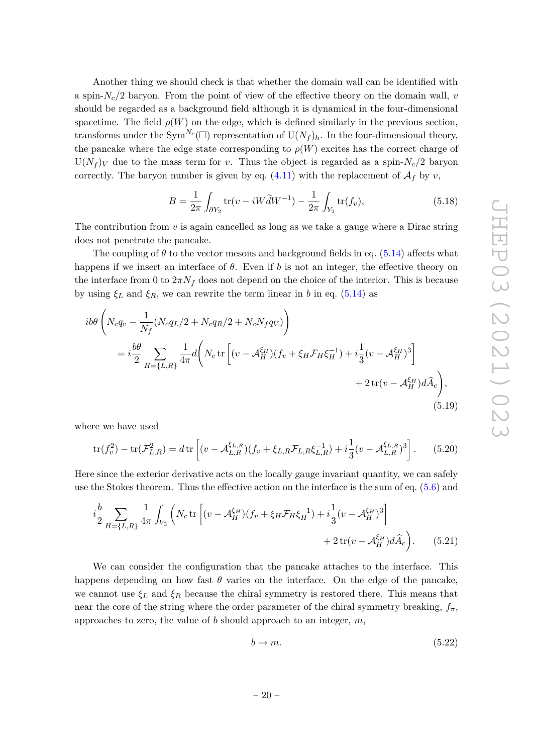Another thing we should check is that whether the domain wall can be identified with a spin- $N_c/2$  baryon. From the point of view of the effective theory on the domain wall, *v* should be regarded as a background field although it is dynamical in the four-dimensional spacetime. The field  $\rho(W)$  on the edge, which is defined similarly in the previous section, transforms under the  $\text{Sym}^{N_c}(\Box)$  representation of  $\text{U}(N_f)_h$ . In the four-dimensional theory, the pancake where the edge state corresponding to  $\rho(W)$  excites has the correct charge of  $U(N_f)$  due to the mass term for *v*. Thus the object is regarded as a spin- $N_c/2$  baryon correctly. The baryon number is given by eq.  $(4.11)$  with the replacement of  $\mathcal{A}_f$  by  $v$ ,

$$
B = \frac{1}{2\pi} \int_{\partial Y_2} \text{tr}(v - iW\tilde{d}W^{-1}) - \frac{1}{2\pi} \int_{Y_2} \text{tr}(f_v), \tag{5.18}
$$

The contribution from *v* is again cancelled as long as we take a gauge where a Dirac string does not penetrate the pancake.

The coupling of  $\theta$  to the vector mesons and background fields in eq. [\(5.14\)](#page-18-3) affects what happens if we insert an interface of *θ*. Even if *b* is not an integer, the effective theory on the interface from 0 to  $2\pi N_f$  does not depend on the choice of the interior. This is because by using  $\xi_L$  and  $\xi_R$ , we can rewrite the term linear in *b* in eq. [\(5.14\)](#page-18-3) as

$$
i b \theta \left( N_c q_v - \frac{1}{N_f} (N_c q_L / 2 + N_c q_R / 2 + N_c N_f q_V) \right)
$$
  
=  $i \frac{b \theta}{2} \sum_{H = \{L, R\}} \frac{1}{4\pi} d \left( N_c \text{tr} \left[ (v - A_H^{\xi_H}) (f_v + \xi_H \mathcal{F}_H \xi_H^{-1}) + i \frac{1}{3} (v - A_H^{\xi_H})^3 \right] + 2 \text{tr}(v - A_H^{\xi_H}) d\hat{A}_c \right),$   
(5.19)

where we have used

$$
\text{tr}(f_v^2) - \text{tr}(\mathcal{F}_{L,R}^2) = d \,\text{tr}\left[ (v - \mathcal{A}_{L,R}^{\xi_{L,R}})(f_v + \xi_{L,R}\mathcal{F}_{L,R}\xi_{L,R}^{-1}) + i\frac{1}{3}(v - \mathcal{A}_{L,R}^{\xi_{L,R}})^3 \right].\tag{5.20}
$$

Here since the exterior derivative acts on the locally gauge invariant quantity, we can safely use the Stokes theorem. Thus the effective action on the interface is the sum of eq. [\(5.6\)](#page-17-2) and

$$
i\frac{b}{2} \sum_{H=\{L,R\}} \frac{1}{4\pi} \int_{V_3} \left( N_c \operatorname{tr} \left[ (v - \mathcal{A}_H^{\xi_H}) (f_v + \xi_H \mathcal{F}_H \xi_H^{-1}) + i \frac{1}{3} (v - \mathcal{A}_H^{\xi_H})^3 \right] + 2 \operatorname{tr} (v - \mathcal{A}_H^{\xi_H}) d\widehat{A}_c \right). \tag{5.21}
$$

We can consider the configuration that the pancake attaches to the interface. This happens depending on how fast  $\theta$  varies on the interface. On the edge of the pancake, we cannot use  $\xi_L$  and  $\xi_R$  because the chiral symmetry is restored there. This means that near the core of the string where the order parameter of the chiral symmetry breaking,  $f_{\pi}$ , approaches to zero, the value of *b* should approach to an integer, *m*,

<span id="page-20-0"></span>
$$
b \to m. \tag{5.22}
$$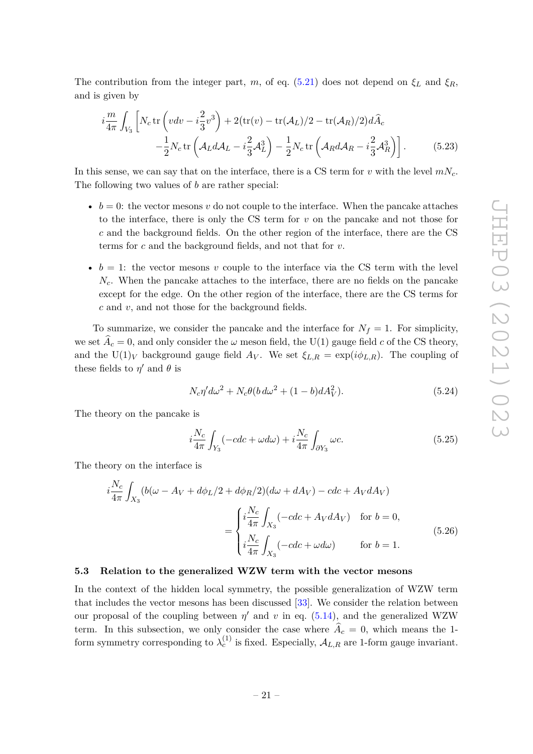The contribution from the integer part, *m*, of eq. [\(5.21\)](#page-20-0) does not depend on  $\xi_L$  and  $\xi_R$ , and is given by

<span id="page-21-1"></span>
$$
i\frac{m}{4\pi} \int_{V_3} \left[ N_c \operatorname{tr} \left( v dv - i\frac{2}{3} v^3 \right) + 2 (\operatorname{tr}(v) - \operatorname{tr}(\mathcal{A}_L)/2 - \operatorname{tr}(\mathcal{A}_R)/2) d\hat{A}_c \right. \left. - \frac{1}{2} N_c \operatorname{tr} \left( \mathcal{A}_L d \mathcal{A}_L - i\frac{2}{3} \mathcal{A}_L^3 \right) - \frac{1}{2} N_c \operatorname{tr} \left( \mathcal{A}_R d \mathcal{A}_R - i\frac{2}{3} \mathcal{A}_R^3 \right) \right]. \tag{5.23}
$$

In this sense, we can say that on the interface, there is a CS term for *v* with the level  $mN_c$ . The following two values of *b* are rather special:

- $b = 0$ : the vector mesons *v* do not couple to the interface. When the pancake attaches to the interface, there is only the CS term for *v* on the pancake and not those for *c* and the background fields. On the other region of the interface, there are the CS terms for *c* and the background fields, and not that for *v*.
- $b = 1$ : the vector mesons *v* couple to the interface via the CS term with the level *Nc*. When the pancake attaches to the interface, there are no fields on the pancake except for the edge. On the other region of the interface, there are the CS terms for *c* and *v*, and not those for the background fields.

To summarize, we consider the pancake and the interface for  $N_f = 1$ . For simplicity, we set  $A_c = 0$ , and only consider the  $\omega$  meson field, the U(1) gauge field *c* of the CS theory, and the U(1)<sub>*V*</sub> background gauge field  $A_V$ . We set  $\xi_{L,R} = \exp(i\phi_{L,R})$ . The coupling of these fields to  $\eta'$  and  $\theta$  is

$$
N_c \eta' d\omega^2 + N_c \theta (b d\omega^2 + (1 - b) dA_V^2). \tag{5.24}
$$

The theory on the pancake is

$$
i\frac{N_c}{4\pi} \int_{Y_3} (-cdc + \omega d\omega) + i\frac{N_c}{4\pi} \int_{\partial Y_3} \omega c.
$$
 (5.25)

The theory on the interface is

$$
i\frac{N_c}{4\pi} \int_{X_3} (b(\omega - A_V + d\phi_L/2 + d\phi_R/2)(d\omega + dA_V) - cdc + A_V dA_V)
$$
  
= 
$$
\begin{cases} i\frac{N_c}{4\pi} \int_{X_3} (-cdc + A_V dA_V) & \text{for } b = 0, \\ i\frac{N_c}{4\pi} \int_{X_3} (-cdc + \omega d\omega) & \text{for } b = 1. \end{cases}
$$
(5.26)

#### <span id="page-21-0"></span>**5.3 Relation to the generalized WZW term with the vector mesons**

In the context of the hidden local symmetry, the possible generalization of WZW term that includes the vector mesons has been discussed [\[33\]](#page-26-1). We consider the relation between our proposal of the coupling between  $\eta'$  and  $v$  in eq. [\(5.14\)](#page-18-3), and the generalized WZW term. In this subsection, we only consider the case where  $\hat{A}_c = 0$ , which means the 1form symmetry corresponding to  $\lambda_c^{(1)}$  is fixed. Especially,  $\mathcal{A}_{L,R}$  are 1-form gauge invariant.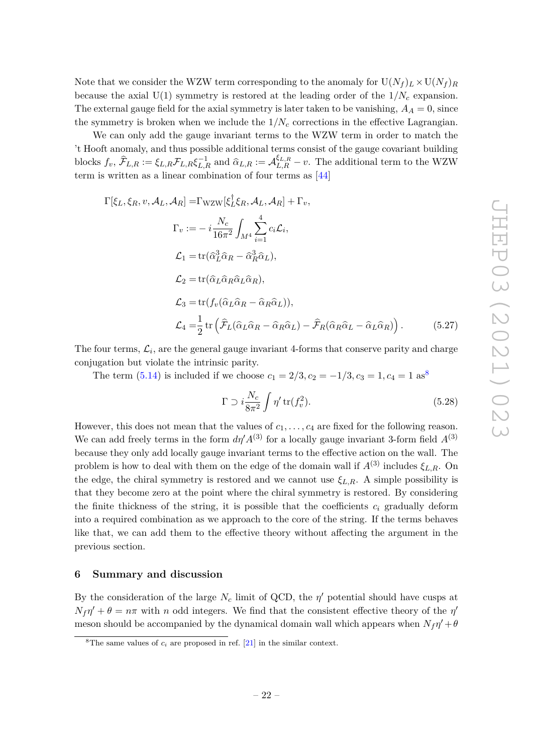Note that we consider the WZW term corresponding to the anomaly for  $U(N_f)_L \times U(N_f)_R$ because the axial  $U(1)$  symmetry is restored at the leading order of the  $1/N_c$  expansion. The external gauge field for the axial symmetry is later taken to be vanishing,  $A_A = 0$ , since the symmetry is broken when we include the  $1/N_c$  corrections in the effective Lagrangian.

We can only add the gauge invariant terms to the WZW term in order to match the 't Hooft anomaly, and thus possible additional terms consist of the gauge covariant building blocks  $f_v$ ,  $\hat{\mathcal{F}}_{L,R} := \xi_{L,R} \mathcal{F}_{L,R} \xi_{L,R}^{-1}$  and  $\hat{\alpha}_{L,R} := \mathcal{A}_{L,R}^{\xi_{L,R}} - v$ . The additional term to the WZW term is written as a linear combination of four terms as [\[44\]](#page-26-12)

$$
\Gamma[\xi_L, \xi_R, v, \mathcal{A}_L, \mathcal{A}_R] = \Gamma_{\text{WZW}}[\xi_L^{\dagger} \xi_R, \mathcal{A}_L, \mathcal{A}_R] + \Gamma_v,
$$
\n
$$
\Gamma_v := -i \frac{N_c}{16\pi^2} \int_{M^4} \sum_{i=1}^4 c_i \mathcal{L}_i,
$$
\n
$$
\mathcal{L}_1 = \text{tr}(\hat{\alpha}_L^3 \hat{\alpha}_R - \hat{\alpha}_R^3 \hat{\alpha}_L),
$$
\n
$$
\mathcal{L}_2 = \text{tr}(\hat{\alpha}_L \hat{\alpha}_R \hat{\alpha}_L \hat{\alpha}_R),
$$
\n
$$
\mathcal{L}_3 = \text{tr}(f_v(\hat{\alpha}_L \hat{\alpha}_R - \hat{\alpha}_R \hat{\alpha}_L)),
$$
\n
$$
\mathcal{L}_4 = \frac{1}{2} \text{tr}(\hat{\mathcal{F}}_L(\hat{\alpha}_L \hat{\alpha}_R - \hat{\alpha}_R \hat{\alpha}_L) - \hat{\mathcal{F}}_R(\hat{\alpha}_R \hat{\alpha}_L - \hat{\alpha}_L \hat{\alpha}_R))
$$
\n(5.27)

The four terms,  $\mathcal{L}_i$ , are the general gauge invariant 4-forms that conserve parity and charge conjugation but violate the intrinsic parity.

The term [\(5.14\)](#page-18-3) is included if we choose  $c_1 = 2/3, c_2 = -1/3, c_3 = 1, c_4 = 1$  as<sup>[8](#page-22-1)</sup>

$$
\Gamma \supset i \frac{N_c}{8\pi^2} \int \eta' \operatorname{tr}(f_v^2). \tag{5.28}
$$

However, this does not mean that the values of  $c_1, \ldots, c_4$  are fixed for the following reason. We can add freely terms in the form  $d\eta' A^{(3)}$  for a locally gauge invariant 3-form field  $A^{(3)}$ because they only add locally gauge invariant terms to the effective action on the wall. The problem is how to deal with them on the edge of the domain wall if  $A^{(3)}$  includes  $\xi_{L,R}$ . On the edge, the chiral symmetry is restored and we cannot use  $\xi_{L,R}$ . A simple possibility is that they become zero at the point where the chiral symmetry is restored. By considering the finite thickness of the string, it is possible that the coefficients  $c_i$  gradually deform into a required combination as we approach to the core of the string. If the terms behaves like that, we can add them to the effective theory without affecting the argument in the previous section.

# <span id="page-22-0"></span>**6 Summary and discussion**

By the consideration of the large  $N_c$  limit of QCD, the  $\eta'$  potential should have cusps at  $N_f \eta' + \theta = n\pi$  with *n* odd integers. We find that the consistent effective theory of the *η*' meson should be accompanied by the dynamical domain wall which appears when  $N_f \eta' + \theta$ 

<span id="page-22-1"></span><sup>&</sup>lt;sup>8</sup>The same values of  $c_i$  are proposed in ref. [\[21\]](#page-25-7) in the similar context.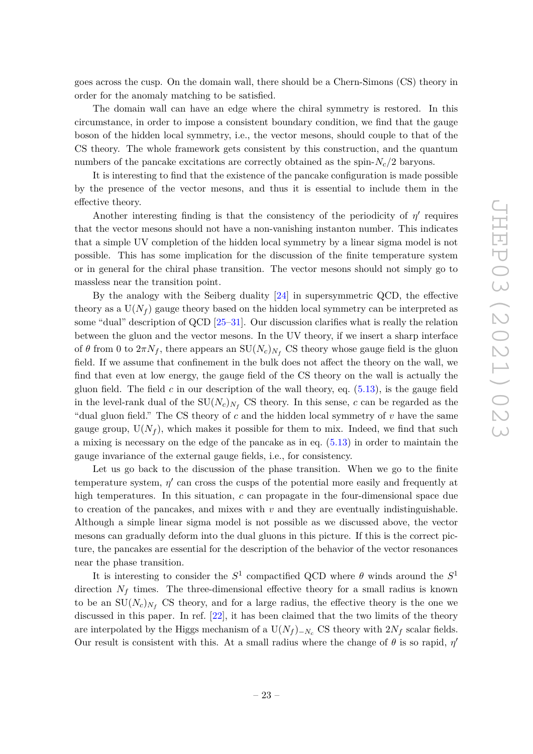goes across the cusp. On the domain wall, there should be a Chern-Simons (CS) theory in order for the anomaly matching to be satisfied.

The domain wall can have an edge where the chiral symmetry is restored. In this circumstance, in order to impose a consistent boundary condition, we find that the gauge boson of the hidden local symmetry, i.e., the vector mesons, should couple to that of the CS theory. The whole framework gets consistent by this construction, and the quantum numbers of the pancake excitations are correctly obtained as the spin-*Nc/*2 baryons.

It is interesting to find that the existence of the pancake configuration is made possible by the presence of the vector mesons, and thus it is essential to include them in the effective theory.

Another interesting finding is that the consistency of the periodicity of  $\eta'$  requires that the vector mesons should not have a non-vanishing instanton number. This indicates that a simple UV completion of the hidden local symmetry by a linear sigma model is not possible. This has some implication for the discussion of the finite temperature system or in general for the chiral phase transition. The vector mesons should not simply go to massless near the transition point.

By the analogy with the Seiberg duality [\[24\]](#page-25-9) in supersymmetric QCD, the effective theory as a  $U(N_f)$  gauge theory based on the hidden local symmetry can be interpreted as some "dual" description of QCD [\[25–](#page-25-10)[31\]](#page-25-11). Our discussion clarifies what is really the relation between the gluon and the vector mesons. In the UV theory, if we insert a sharp interface of  $\theta$  from 0 to  $2\pi N_f$ , there appears an  $SU(N_c)_{N_f}$  CS theory whose gauge field is the gluon field. If we assume that confinement in the bulk does not affect the theory on the wall, we find that even at low energy, the gauge field of the CS theory on the wall is actually the gluon field. The field  $c$  in our description of the wall theory, eq.  $(5.13)$ , is the gauge field in the level-rank dual of the  $SU(N_c)_{N_f}$  CS theory. In this sense, *c* can be regarded as the "dual gluon field." The CS theory of *c* and the hidden local symmetry of *v* have the same gauge group,  $U(N_f)$ , which makes it possible for them to mix. Indeed, we find that such a mixing is necessary on the edge of the pancake as in eq. [\(5.13\)](#page-18-4) in order to maintain the gauge invariance of the external gauge fields, i.e., for consistency.

Let us go back to the discussion of the phase transition. When we go to the finite temperature system,  $\eta'$  can cross the cusps of the potential more easily and frequently at high temperatures. In this situation, *c* can propagate in the four-dimensional space due to creation of the pancakes, and mixes with  $v$  and they are eventually indistinguishable. Although a simple linear sigma model is not possible as we discussed above, the vector mesons can gradually deform into the dual gluons in this picture. If this is the correct picture, the pancakes are essential for the description of the behavior of the vector resonances near the phase transition.

It is interesting to consider the  $S^1$  compactified QCD where  $\theta$  winds around the  $S^1$ direction  $N_f$  times. The three-dimensional effective theory for a small radius is known to be an  $SU(N_c)_{N_f}$  CS theory, and for a large radius, the effective theory is the one we discussed in this paper. In ref. [\[22\]](#page-25-14), it has been claimed that the two limits of the theory are interpolated by the Higgs mechanism of a  $U(N_f)_{-N_c}$  CS theory with  $2N_f$  scalar fields. Our result is consistent with this. At a small radius where the change of  $\theta$  is so rapid,  $\eta'$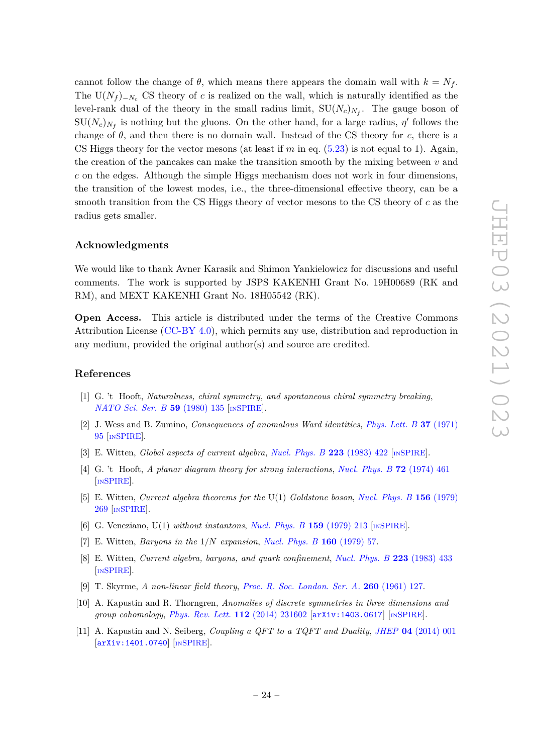cannot follow the change of  $\theta$ , which means there appears the domain wall with  $k = N_f$ . The  $U(N_f)_{-N_c}$  CS theory of *c* is realized on the wall, which is naturally identified as the level-rank dual of the theory in the small radius limit,  $SU(N_c)_{N_f}$ . The gauge boson of  $SU(N_c)_{N_f}$  is nothing but the gluons. On the other hand, for a large radius,  $\eta'$  follows the change of  $\theta$ , and then there is no domain wall. Instead of the CS theory for c, there is a CS Higgs theory for the vector mesons (at least if  $m$  in eq.  $(5.23)$  is not equal to 1). Again, the creation of the pancakes can make the transition smooth by the mixing between *v* and *c* on the edges. Although the simple Higgs mechanism does not work in four dimensions, the transition of the lowest modes, i.e., the three-dimensional effective theory, can be a smooth transition from the CS Higgs theory of vector mesons to the CS theory of *c* as the radius gets smaller.

#### **Acknowledgments**

We would like to thank Avner Karasik and Shimon Yankielowicz for discussions and useful comments. The work is supported by JSPS KAKENHI Grant No. 19H00689 (RK and RM), and MEXT KAKENHI Grant No. 18H05542 (RK).

**Open Access.** This article is distributed under the terms of the Creative Commons Attribution License [\(CC-BY 4.0\)](https://creativecommons.org/licenses/by/4.0/), which permits any use, distribution and reproduction in any medium, provided the original author(s) and source are credited.

#### **References**

- <span id="page-24-0"></span>[1] G. 't Hooft, *Naturalness, chiral symmetry, and spontaneous chiral symmetry breaking*, *[NATO Sci. Ser. B](https://doi.org/10.1007/978-1-4684-7571-5_9)* **59** (1980) 135 [IN[SPIRE](https://inspirehep.net/search?p=find+J%20%22NATO%20Sci.Ser.%2CB59%2C135%22)].
- <span id="page-24-1"></span>[2] J. Wess and B. Zumino, *Consequences of anomalous Ward identities*, *[Phys. Lett. B](https://doi.org/10.1016/0370-2693(71)90582-X)* **37** (1971) [95](https://doi.org/10.1016/0370-2693(71)90582-X) [IN[SPIRE](https://inspirehep.net/search?p=find+J%20%22Phys.Lett.%2CB37%2C95%22)].
- <span id="page-24-2"></span>[3] E. Witten, *Global aspects of current algebra*, *[Nucl. Phys. B](https://doi.org/10.1016/0550-3213(83)90063-9)* **223** (1983) 422 [IN[SPIRE](https://inspirehep.net/search?p=find+J%20%22Nucl.Phys.%2CB223%2C422%22)].
- <span id="page-24-3"></span>[4] G. 't Hooft, *A planar diagram theory for strong interactions*, *[Nucl. Phys. B](https://doi.org/10.1016/0550-3213(74)90154-0)* **72** (1974) 461 [IN[SPIRE](https://inspirehep.net/search?p=find+J%20%22Nucl.Phys.%2CB72%2C461%22)].
- <span id="page-24-4"></span>[5] E. Witten, *Current algebra theorems for the* U(1) *Goldstone boson*, *[Nucl. Phys. B](https://doi.org/10.1016/0550-3213(79)90031-2)* **156** (1979) [269](https://doi.org/10.1016/0550-3213(79)90031-2) [IN[SPIRE](https://inspirehep.net/search?p=find+J%20%22Nucl.Phys.%2CB156%2C269%22)].
- <span id="page-24-5"></span>[6] G. Veneziano, U(1) *without instantons*, *[Nucl. Phys. B](https://doi.org/10.1016/0550-3213(79)90332-8)* **159** (1979) 213 [IN[SPIRE](https://inspirehep.net/search?p=find+J%20%22Nucl.Phys.%2CB159%2C213%22)].
- <span id="page-24-6"></span>[7] E. Witten, *Baryons in the* 1*/N expansion*, *[Nucl. Phys. B](http://dx.doi.org/10.1016/0550-3213(79)90232-3)* **160** (1979) 57.
- <span id="page-24-7"></span>[8] E. Witten, *Current algebra, baryons, and quark confinement*, *[Nucl. Phys. B](https://doi.org/10.1016/0550-3213(83)90064-0)* **223** (1983) 433 [IN[SPIRE](https://inspirehep.net/search?p=find+J%20%22Nucl.Phys.%2CB223%2C433%22)].
- <span id="page-24-8"></span>[9] T. Skyrme, *A non-linear field theory*, *[Proc. R. Soc. London. Ser. A.](http://dx.doi.org/10.1098/rspa.1961.0018)* **260** (1961) 127.
- <span id="page-24-9"></span>[10] A. Kapustin and R. Thorngren, *Anomalies of discrete symmetries in three dimensions and group cohomology*, *[Phys. Rev. Lett.](https://doi.org/10.1103/PhysRevLett.112.231602)* **112** (2014) 231602 [[arXiv:1403.0617](https://arxiv.org/abs/1403.0617)] [IN[SPIRE](https://inspirehep.net/search?p=find+EPRINT%2BarXiv%3A1403.0617)].
- <span id="page-24-10"></span>[11] A. Kapustin and N. Seiberg, *Coupling a QFT to a TQFT and Duality*, *JHEP* **04** [\(2014\) 001](https://doi.org/10.1007/JHEP04(2014)001) [[arXiv:1401.0740](https://arxiv.org/abs/1401.0740)] [IN[SPIRE](https://inspirehep.net/search?p=find+EPRINT%2BarXiv%3A1401.0740)].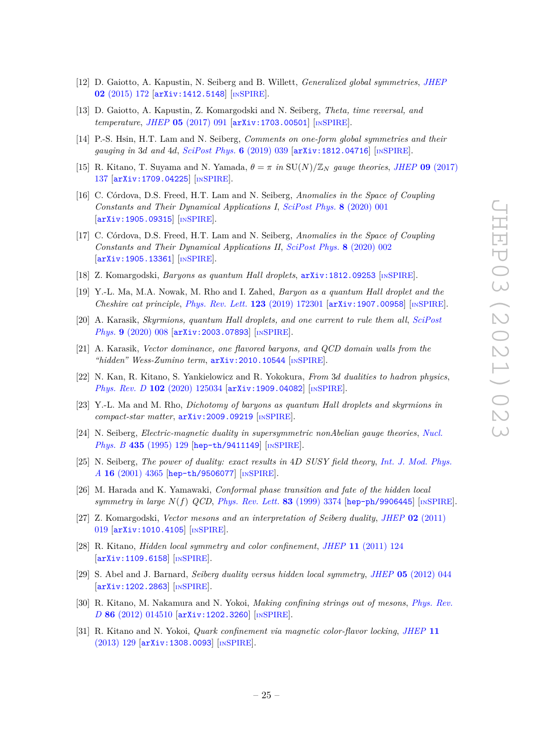- <span id="page-25-0"></span>[12] D. Gaiotto, A. Kapustin, N. Seiberg and B. Willett, *Generalized global symmetries*, *[JHEP](https://doi.org/10.1007/JHEP02(2015)172)* **02** [\(2015\) 172](https://doi.org/10.1007/JHEP02(2015)172) [[arXiv:1412.5148](https://arxiv.org/abs/1412.5148)] [IN[SPIRE](https://inspirehep.net/search?p=find+EPRINT%2BarXiv%3A1412.5148)].
- <span id="page-25-1"></span>[13] D. Gaiotto, A. Kapustin, Z. Komargodski and N. Seiberg, *Theta, time reversal, and temperature*, *JHEP* **05** [\(2017\) 091](https://doi.org/10.1007/JHEP05(2017)091) [[arXiv:1703.00501](https://arxiv.org/abs/1703.00501)] [IN[SPIRE](https://inspirehep.net/search?p=find+J%20%22JHEP%2C1705%2C091%22%20and%20year%3D2017)].
- <span id="page-25-12"></span>[14] P.-S. Hsin, H.T. Lam and N. Seiberg, *Comments on one-form global symmetries and their gauging in* 3*d and* 4*d*, *[SciPost Phys.](https://doi.org/10.21468/SciPostPhys.6.3.039)* **6** (2019) 039 [[arXiv:1812.04716](https://arxiv.org/abs/1812.04716)] [IN[SPIRE](https://inspirehep.net/search?p=find+EPRINT%2BarXiv%3A1812.04716)].
- <span id="page-25-13"></span>[15] R. Kitano, T. Suyama and N. Yamada,  $\theta = \pi$  *in* SU(*N*)/ $\mathbb{Z}_N$  *gauge theories*, *JHEP* **09** [\(2017\)](https://doi.org/10.1007/JHEP09(2017)137) [137](https://doi.org/10.1007/JHEP09(2017)137) [[arXiv:1709.04225](https://arxiv.org/abs/1709.04225)] [IN[SPIRE](https://inspirehep.net/search?p=find+EPRINT%2BarXiv%3A1709.04225)].
- <span id="page-25-2"></span>[16] C. Córdova, D.S. Freed, H.T. Lam and N. Seiberg, *Anomalies in the Space of Coupling Constants and Their Dynamical Applications I*, *[SciPost Phys.](https://doi.org/10.21468/SciPostPhys.8.1.001)* **8** (2020) 001 [[arXiv:1905.09315](https://arxiv.org/abs/1905.09315)] [IN[SPIRE](https://inspirehep.net/search?p=find+EPRINT%2BarXiv%3A1905.09315)].
- <span id="page-25-3"></span>[17] C. Córdova, D.S. Freed, H.T. Lam and N. Seiberg, *Anomalies in the Space of Coupling Constants and Their Dynamical Applications II*, *[SciPost Phys.](https://doi.org/10.21468/SciPostPhys.8.1.002)* **8** (2020) 002 [[arXiv:1905.13361](https://arxiv.org/abs/1905.13361)] [IN[SPIRE](https://inspirehep.net/search?p=find+EPRINT%2BarXiv%3A1905.13361)].
- <span id="page-25-4"></span>[18] Z. Komargodski, *Baryons as quantum Hall droplets*, [arXiv:1812.09253](https://arxiv.org/abs/1812.09253) [IN[SPIRE](https://inspirehep.net/search?p=find+EPRINT%2BarXiv%3A1812.09253)].
- <span id="page-25-5"></span>[19] Y.-L. Ma, M.A. Nowak, M. Rho and I. Zahed, *Baryon as a quantum Hall droplet and the Cheshire cat principle*, *[Phys. Rev. Lett.](https://doi.org/10.1103/PhysRevLett.123.172301)* **123** (2019) 172301 [[arXiv:1907.00958](https://arxiv.org/abs/1907.00958)] [IN[SPIRE](https://inspirehep.net/search?p=find+J%20%22Phys.Rev.Lett.%2C123%2C172301%22)].
- <span id="page-25-6"></span>[20] A. Karasik, *Skyrmions, quantum Hall droplets, and one current to rule them all*, *[SciPost](https://doi.org/10.21468/SciPostPhys.9.1.008) Phys.* **9** [\(2020\) 008](https://doi.org/10.21468/SciPostPhys.9.1.008) [[arXiv:2003.07893](https://arxiv.org/abs/2003.07893)] [IN[SPIRE](https://inspirehep.net/search?p=find+EPRINT%2BarXiv%3A2003.07893)].
- <span id="page-25-7"></span>[21] A. Karasik, *Vector dominance, one flavored baryons, and QCD domain walls from the "hidden" Wess-Zumino term*, [arXiv:2010.10544](https://arxiv.org/abs/2010.10544) [IN[SPIRE](https://inspirehep.net/search?p=find+EPRINT%2BarXiv%3A2010.10544)].
- <span id="page-25-14"></span>[22] N. Kan, R. Kitano, S. Yankielowicz and R. Yokokura, *From* 3*d dualities to hadron physics*, *Phys. Rev. D* **102** [\(2020\) 125034](https://doi.org/10.1103/PhysRevD.102.125034) [[arXiv:1909.04082](https://arxiv.org/abs/1909.04082)] [IN[SPIRE](https://inspirehep.net/search?p=find+EPRINT%2BarXiv%3A1909.04082)].
- <span id="page-25-8"></span>[23] Y.-L. Ma and M. Rho, *Dichotomy of baryons as quantum Hall droplets and skyrmions in compact-star matter*, [arXiv:2009.09219](https://arxiv.org/abs/2009.09219) [IN[SPIRE](https://inspirehep.net/search?p=find+EPRINT%2BarXiv%3A2009.09219)].
- <span id="page-25-9"></span>[24] N. Seiberg, *Electric-magnetic duality in supersymmetric nonAbelian gauge theories*, *[Nucl.](https://doi.org/10.1016/0550-3213(94)00023-8) Phys. B* **435** [\(1995\) 129](https://doi.org/10.1016/0550-3213(94)00023-8) [[hep-th/9411149](https://arxiv.org/abs/hep-th/9411149)] [IN[SPIRE](https://inspirehep.net/search?p=find+EPRINT%2Bhep-th%2F9411149)].
- <span id="page-25-10"></span>[25] N. Seiberg, *The power of duality: exact results in* 4*D SUSY field theory*, *[Int. J. Mod. Phys.](https://doi.org/10.1142/S0217751X01005705) A* **16** [\(2001\) 4365](https://doi.org/10.1142/S0217751X01005705) [[hep-th/9506077](https://arxiv.org/abs/hep-th/9506077)] [IN[SPIRE](https://inspirehep.net/search?p=find+EPRINT%2Bhep-th%2F9506077)].
- [26] M. Harada and K. Yamawaki, *Conformal phase transition and fate of the hidden local symmetry in large N*(*f*) *QCD*, *[Phys. Rev. Lett.](https://doi.org/10.1103/PhysRevLett.83.3374)* **83** (1999) 3374 [[hep-ph/9906445](https://arxiv.org/abs/hep-ph/9906445)] [IN[SPIRE](https://inspirehep.net/search?p=find+EPRINT%2Bhep-ph%2F9906445)].
- [27] Z. Komargodski, *Vector mesons and an interpretation of Seiberg duality*, *JHEP* **02** [\(2011\)](https://doi.org/10.1007/JHEP02(2011)019) [019](https://doi.org/10.1007/JHEP02(2011)019) [[arXiv:1010.4105](https://arxiv.org/abs/1010.4105)] [IN[SPIRE](https://inspirehep.net/search?p=find+J%20%22JHEP%2C1102%2C019%22%20and%20year%3D2011)].
- [28] R. Kitano, *Hidden local symmetry and color confinement*, *JHEP* **11** [\(2011\) 124](https://doi.org/10.1007/JHEP11(2011)124) [[arXiv:1109.6158](https://arxiv.org/abs/1109.6158)] [IN[SPIRE](https://inspirehep.net/search?p=find+EPRINT%2BarXiv%3A1109.6158)].
- [29] S. Abel and J. Barnard, *Seiberg duality versus hidden local symmetry*, *JHEP* **05** [\(2012\) 044](https://doi.org/10.1007/JHEP05(2012)044) [[arXiv:1202.2863](https://arxiv.org/abs/1202.2863)] [IN[SPIRE](https://inspirehep.net/search?p=find+EPRINT%2BarXiv%3A1202.2863)].
- [30] R. Kitano, M. Nakamura and N. Yokoi, *Making confining strings out of mesons*, *[Phys. Rev.](https://doi.org/10.1103/PhysRevD.86.014510) D* **86** [\(2012\) 014510](https://doi.org/10.1103/PhysRevD.86.014510) [[arXiv:1202.3260](https://arxiv.org/abs/1202.3260)] [IN[SPIRE](https://inspirehep.net/search?p=find+EPRINT%2BarXiv%3A1202.3260)].
- <span id="page-25-11"></span>[31] R. Kitano and N. Yokoi, *Quark confinement via magnetic color-flavor locking*, *[JHEP](https://doi.org/10.1007/JHEP11(2013)129)* **11** [\(2013\) 129](https://doi.org/10.1007/JHEP11(2013)129) [[arXiv:1308.0093](https://arxiv.org/abs/1308.0093)] [IN[SPIRE](https://inspirehep.net/search?p=find+EPRINT%2BarXiv%3A1308.0093)].